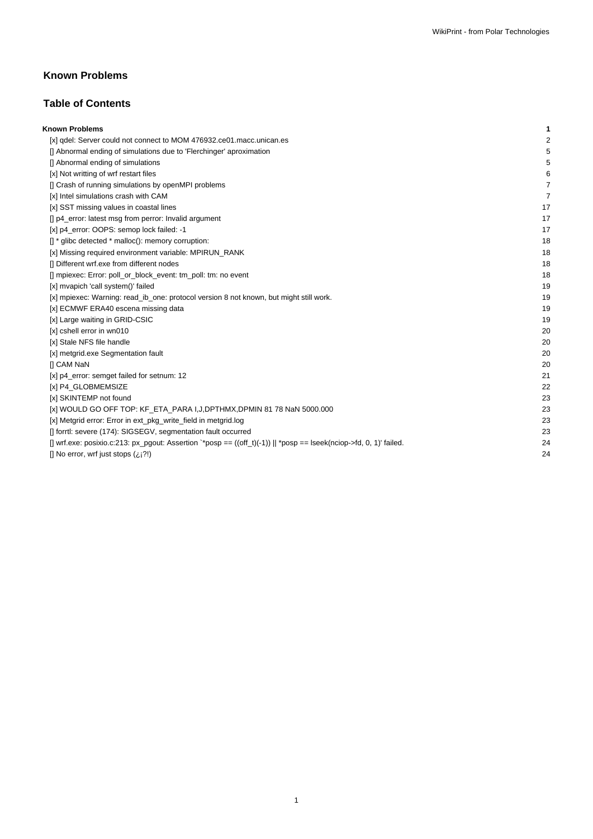# **Known Problems**

## **Table of Contents**

| <b>Known Problems</b>                                                                                                | 1  |
|----------------------------------------------------------------------------------------------------------------------|----|
| [x] gdel: Server could not connect to MOM 476932.ce01.macc.unican.es                                                 | 2  |
| [] Abnormal ending of simulations due to 'Flerchinger' aproximation                                                  | 5  |
| [] Abnormal ending of simulations                                                                                    | 5  |
| [x] Not writting of wrf restart files                                                                                | 6  |
| [] Crash of running simulations by openMPI problems                                                                  | 7  |
| [x] Intel simulations crash with CAM                                                                                 | 7  |
| [x] SST missing values in coastal lines                                                                              | 17 |
| [] p4_error: latest msg from perror: Invalid argument                                                                | 17 |
| [x] p4_error: OOPS: semop lock failed: -1                                                                            | 17 |
| $\left[\right]$ * glibc detected * malloc(): memory corruption:                                                      | 18 |
| [x] Missing required environment variable: MPIRUN_RANK                                                               | 18 |
| [] Different wrf.exe from different nodes                                                                            | 18 |
| [] mpiexec: Error: poll_or_block_event: tm_poll: tm: no event                                                        | 18 |
| [x] mvapich 'call system()' failed                                                                                   | 19 |
| [x] mpiexec: Warning: read_ib_one: protocol version 8 not known, but might still work.                               | 19 |
| [x] ECMWF ERA40 escena missing data                                                                                  | 19 |
| [x] Large waiting in GRID-CSIC                                                                                       | 19 |
| [x] cshell error in wn010                                                                                            | 20 |
| [x] Stale NFS file handle                                                                                            | 20 |
| [x] metgrid.exe Segmentation fault                                                                                   | 20 |
| <b>II CAM NaN</b>                                                                                                    | 20 |
| [x] p4_error: semget failed for setnum: 12                                                                           | 21 |
| [x] P4_GLOBMEMSIZE                                                                                                   | 22 |
| [x] SKINTEMP not found                                                                                               | 23 |
| [x] WOULD GO OFF TOP: KF_ETA_PARA I,J,DPTHMX,DPMIN 81 78 NaN 5000.000                                                | 23 |
| [x] Metgrid error: Error in ext_pkg_write_field in metgrid.log                                                       | 23 |
| [] forrtl: severe (174): SIGSEGV, segmentation fault occurred                                                        | 23 |
| [] wrf.exe: posixio.c:213: px_pgout: Assertion `*posp == $((off_t)(-1))$    *posp == lseek(nciop->fd, 0, 1)' failed. | 24 |
| [] No error, wrf just stops $(i, j?)$                                                                                | 24 |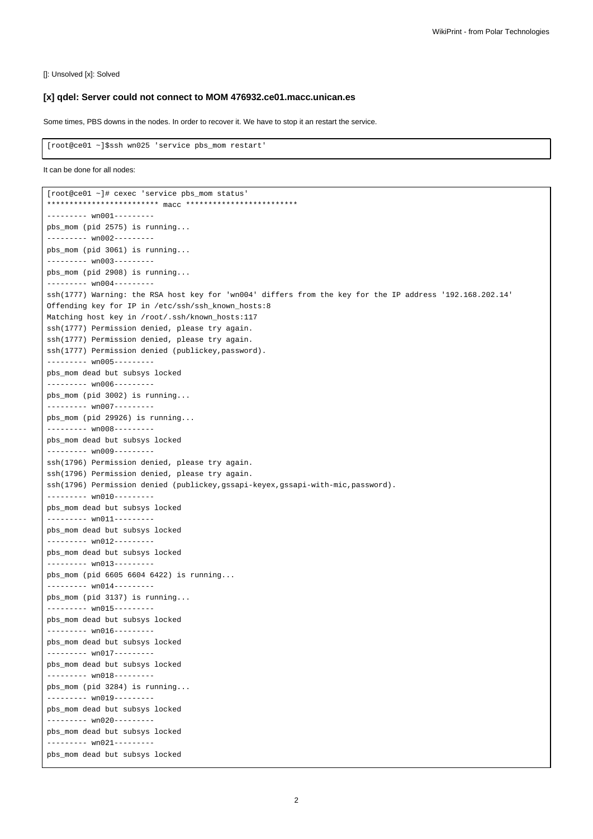[]: Unsolved [x]: Solved

#### **[x] qdel: Server could not connect to MOM 476932.ce01.macc.unican.es**

Some times, PBS downs in the nodes. In order to recover it. We have to stop it an restart the service.

```
[root@ce01 ~]$ssh wn025 'service pbs_mom restart'
```

```
It can be done for all nodes:
```

```
[root@ce01 ~]# cexec 'service pbs_mom status'
************************* macc *************************
--------- wn001---------
pbs_mom (pid 2575) is running...
--------- wn002---------
pbs_mom (pid 3061) is running...
--------- wn003---------
pbs_mom (pid 2908) is running...
--------- wn004---------
ssh(1777) Warning: the RSA host key for 'wn004' differs from the key for the IP address '192.168.202.14'
Offending key for IP in /etc/ssh/ssh_known_hosts:8
Matching host key in /root/.ssh/known_hosts:117
ssh(1777) Permission denied, please try again.
ssh(1777) Permission denied, please try again.
ssh(1777) Permission denied (publickey,password).
--------- wn005---------
pbs_mom dead but subsys locked
--------- wn006---------
pbs_mom (pid 3002) is running...
--------- wn007---------
pbs_mom (pid 29926) is running...
--------- wn008---------
pbs_mom dead but subsys locked
--------- wn009---------
ssh(1796) Permission denied, please try again.
ssh(1796) Permission denied, please try again.
ssh(1796) Permission denied (publickey,gssapi-keyex,gssapi-with-mic,password).
--------- wn010---------
pbs_mom dead but subsys locked
--------- wn011---------
pbs_mom dead but subsys locked
--------- wn012---------
pbs_mom dead but subsys locked
--------- wn013---------
pbs_mom (pid 6605 6604 6422) is running...
--------- wn014---------
pbs_mom (pid 3137) is running...
--------- wn015---------
pbs_mom dead but subsys locked
--------- wn016---------
pbs_mom dead but subsys locked
--------- wn017---------
pbs_mom dead but subsys locked
--------- wn018---------
pbs_mom (pid 3284) is running...
--------- wn019---------
pbs_mom dead but subsys locked
--------- wn020---------
pbs_mom dead but subsys locked
--------- wn021---------
pbs_mom dead but subsys locked
```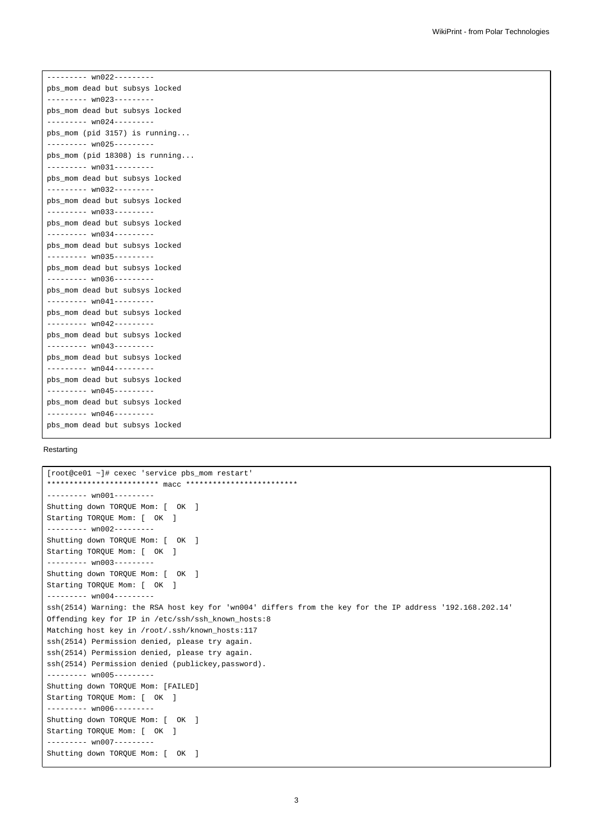--------- wn022-------- pbs\_mom dead but subsys locked --------- wn023-------- pbs\_mom dead but subsys locked --------- wn024-------- pbs\_mom (pid 3157) is running... --------- wn025-------- pbs\_mom (pid 18308) is running... --------- wn031-------- pbs\_mom dead but subsys locked --------- wn032-------- pbs\_mom dead but subsys locked --------- wn033-------- pbs\_mom dead but subsys locked --------- wn034-------- pbs\_mom dead but subsys locked --------- wn035-------- pbs\_mom dead but subsys locked --------- wn036-------- pbs\_mom dead but subsys locked --------- wn041-------- pbs\_mom dead but subsys locked --------- wn042-------- pbs\_mom dead but subsys locked --------- wn043-------- pbs\_mom dead but subsys locked --------- wn044-------- pbs\_mom dead but subsys locked --------- wn045-------- pbs\_mom dead but subsys locked -------- wn046-------pbs\_mom dead but subsys locked

#### Restarting

```
[root@ce01 ~]# cexec 'service pbs_mom restart'
************************* macc *************************
--------- wn001---------
Shutting down TOROUE Mom: [ OK ]
Starting TORQUE Mom: [ OK ]
--------- wn002---------
Shutting down TORQUE Mom: [ OK ]
Starting TORQUE Mom: [ OK ]
--------- wn003---------
Shutting down TORQUE Mom: [ OK ]
Starting TORQUE Mom: [ OK ]
--------- wn004---------
ssh(2514) Warning: the RSA host key for 'wn004' differs from the key for the IP address '192.168.202.14'
Offending key for IP in /etc/ssh/ssh_known_hosts:8
Matching host key in /root/.ssh/known_hosts:117
ssh(2514) Permission denied, please try again.
ssh(2514) Permission denied, please try again.
ssh(2514) Permission denied (publickey,password).
--------- wn005---------
Shutting down TORQUE Mom: [FAILED]
Starting TORQUE Mom: [ OK ]
--------- wn006---------
Shutting down TORQUE Mom: [ OK ]
Starting TORQUE Mom: [ OK ]
--------- wn007---------
Shutting down TORQUE Mom: [ OK ]
```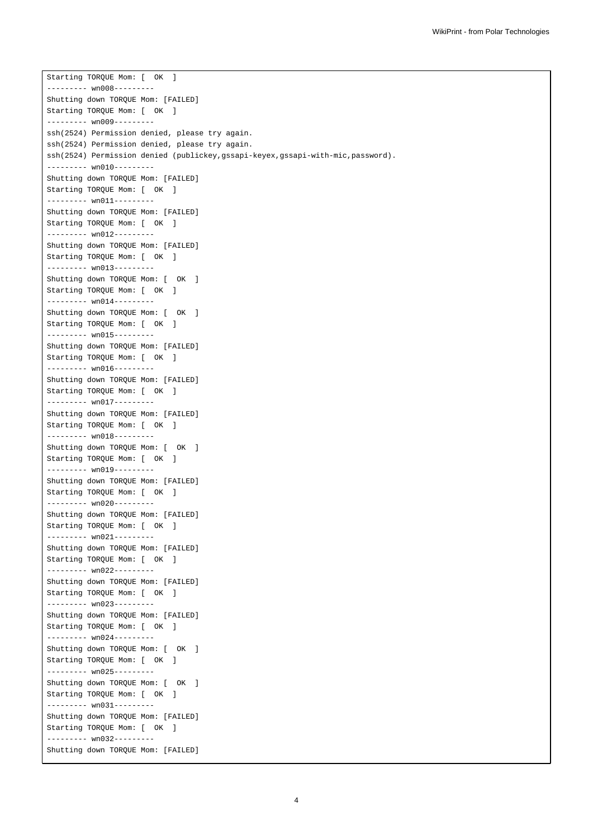Starting TORQUE Mom: [ OK ] -------- wn008-----Shutting down TORQUE Mom: [FAILED] Starting TORQUE Mom: [ OK ] --------- wn009-------- ssh(2524) Permission denied, please try again. ssh(2524) Permission denied, please try again. ssh(2524) Permission denied (publickey,gssapi-keyex,gssapi-with-mic,password). --------- wn010--------- Shutting down TORQUE Mom: [FAILED] Starting TORQUE Mom: [ OK ] --------- wn011--------- Shutting down TORQUE Mom: [FAILED] Starting TORQUE Mom: [ OK ] --------- wn012--------- Shutting down TORQUE Mom: [FAILED] Starting TORQUE Mom: [ OK ] --------- wn013--------- Shutting down TORQUE Mom: [ OK ] Starting TORQUE Mom: [ OK ] --------- wn014--------- Shutting down TORQUE Mom: [ OK ] Starting TORQUE Mom: [ OK ] --------- wn015--------- Shutting down TORQUE Mom: [FAILED] Starting TORQUE Mom: [ OK ] -------- wn016--------Shutting down TORQUE Mom: [FAILED] Starting TORQUE Mom: [ OK ] -------- wn017--------Shutting down TORQUE Mom: [FAILED] Starting TORQUE Mom: [ OK ] --------- wn018--------- Shutting down TORQUE Mom: [ OK ] Starting TORQUE Mom: [ OK ] --------- wn019--------- Shutting down TORQUE Mom: [FAILED] Starting TORQUE Mom: [ OK ] --------- wn020--------- Shutting down TORQUE Mom: [FAILED] Starting TORQUE Mom: [ OK ] -------- wn021---------Shutting down TORQUE Mom: [FAILED] Starting TORQUE Mom: [ OK ] --------- wn022--------- Shutting down TORQUE Mom: [FAILED] Starting TORQUE Mom: [ OK ] --------- wn023--------- Shutting down TORQUE Mom: [FAILED] Starting TORQUE Mom: [ OK ] --------- wn024--------- Shutting down TORQUE Mom: [ OK ] Starting TORQUE Mom: [ OK ] --------- wn025--------- Shutting down TORQUE Mom: [ OK ] Starting TORQUE Mom: [ OK ] --------- wn031--------- Shutting down TORQUE Mom: [FAILED] Starting TORQUE Mom: [ OK ] --------- wn032--------- Shutting down TORQUE Mom: [FAILED]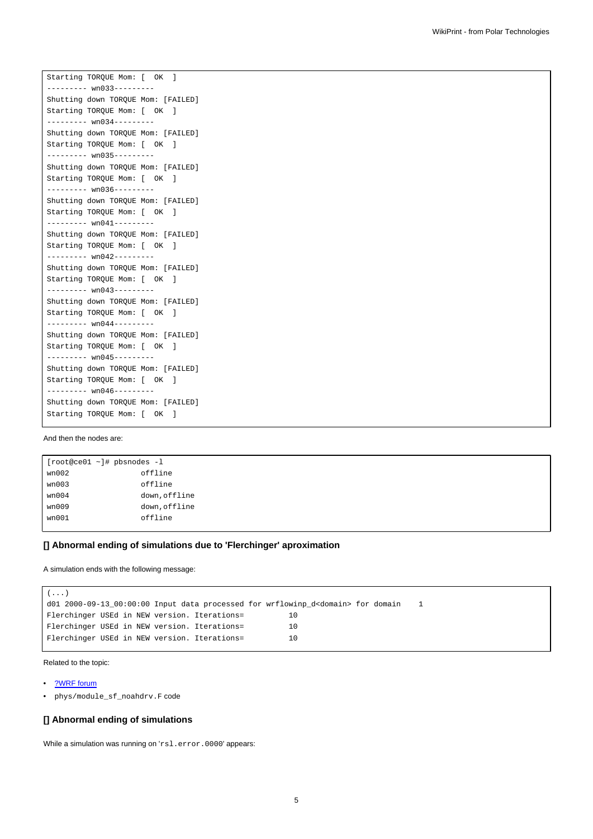Starting TORQUE Mom: [ OK ] ------- wn033-----Shutting down TORQUE Mom: [FAILED] Starting TORQUE Mom: [ OK ] --------- wn034--------- Shutting down TORQUE Mom: [FAILED] Starting TORQUE Mom: [ OK ] --------- wn035--------- Shutting down TORQUE Mom: [FAILED] Starting TORQUE Mom: [ OK ] --------- wn036--------- Shutting down TORQUE Mom: [FAILED] Starting TORQUE Mom: [ OK ] --------- wn041--------- Shutting down TORQUE Mom: [FAILED] Starting TORQUE Mom: [ OK ] --------- wn042--------- Shutting down TORQUE Mom: [FAILED] Starting TORQUE Mom: [ OK ] --------- wn043--------- Shutting down TORQUE Mom: [FAILED] Starting TORQUE Mom: [ OK ] --------- wn044--------- Shutting down TORQUE Mom: [FAILED] Starting TORQUE Mom: [ OK ] -------- wn045--------Shutting down TORQUE Mom: [FAILED] Starting TORQUE Mom: [ OK ] --------- wn046--------- Shutting down TORQUE Mom: [FAILED] Starting TORQUE Mom: [ OK ]

#### And then the nodes are:

```
[root@ce01 ~]# pbsnodes -l
wn002 offline
wn003 offline
wn004 down, offline
wn009 down, offline
wn001 offline
```
#### **[] Abnormal ending of simulations due to 'Flerchinger' aproximation**

A simulation ends with the following message:

```
(...)
d01 2000-09-13_00:00:00 Input data processed for wrflowinp_d<domain> for domain 1
Flerchinger USEd in NEW version. Iterations= 10
Flerchinger USEd in NEW version. Iterations= 10
Flerchinger USEd in NEW version. Iterations= 10
```
Related to the topic:

• [?WRF forum](http://forum.wrfforum.com/viewtopic.php?f=6&t=2531)

• phys/module\_sf\_noahdrv.F code

#### **[] Abnormal ending of simulations**

While a simulation was running on 'rsl.error.0000' appears: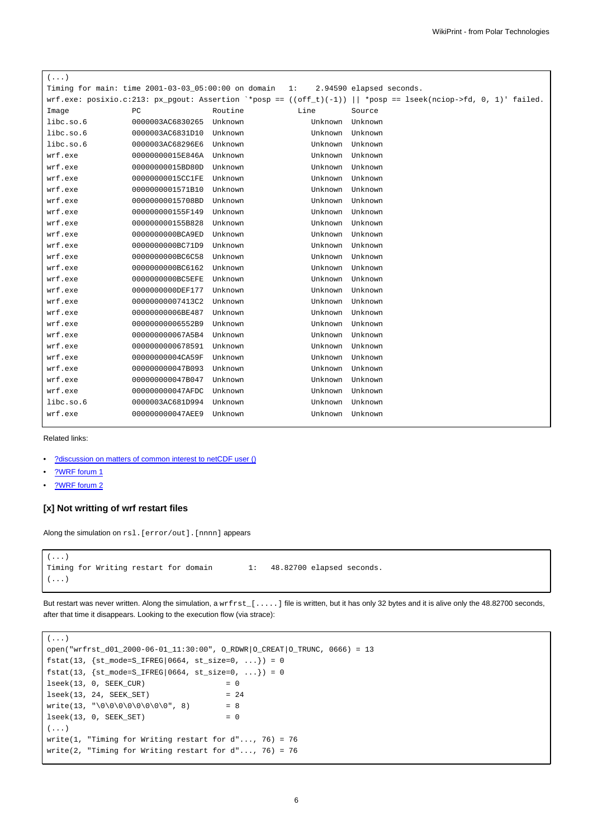| $(\ldots)$                                                     |                  |         |         |                                                                                                                   |
|----------------------------------------------------------------|------------------|---------|---------|-------------------------------------------------------------------------------------------------------------------|
| Timing for main: time $2001 - 03 - 03 - 05:00:00$ on domain 1: |                  |         |         | 2.94590 elapsed seconds.                                                                                          |
|                                                                |                  |         |         | wrf.exe: posixio.c:213: px_pgout: Assertion `*posp == $((off_t)(-1))$    *posp == lseek(nciop->fd, 0, 1)' failed. |
| Image                                                          | PC               | Routine | Line    | Source                                                                                                            |
| libc.so.6                                                      | 0000003AC6830265 | Unknown | Unknown | Unknown                                                                                                           |
| libc.so.6                                                      | 0000003AC6831D10 | Unknown | Unknown | Unknown                                                                                                           |
| libc.so.6                                                      | 0000003AC68296E6 | Unknown | Unknown | Unknown                                                                                                           |
| wrf.exe                                                        | 00000000015E846A | Unknown | Unknown | Unknown                                                                                                           |
| wrf.exe                                                        | 00000000015BD80D | Unknown | Unknown | Unknown                                                                                                           |
| wrf.exe                                                        | 00000000015CC1FE | Unknown | Unknown | Unknown                                                                                                           |
| wrf.exe                                                        | 0000000001571B10 | Unknown | Unknown | Unknown                                                                                                           |
| wrf.exe                                                        | 00000000015708BD | Unknown | Unknown | Unknown                                                                                                           |
| wrf.exe                                                        | 000000000155F149 | Unknown | Unknown | Unknown                                                                                                           |
| wrf.exe                                                        | 000000000155B828 | Unknown | Unknown | Unknown                                                                                                           |
| wrf.exe                                                        | 0000000000BCA9ED | Unknown | Unknown | Unknown                                                                                                           |
| wrf.exe                                                        | 0000000000BC71D9 | Unknown | Unknown | Unknown                                                                                                           |
| wrf.exe                                                        | 0000000000BC6C58 | Unknown | Unknown | Unknown                                                                                                           |
| wrf.exe                                                        | 0000000000BC6162 | Unknown | Unknown | Unknown                                                                                                           |
| wrf.exe                                                        | 0000000000BC5EFE | Unknown | Unknown | Unknown                                                                                                           |
| wrf.exe                                                        | 000000000DEF177  | Unknown | Unknown | Unknown                                                                                                           |
| wrf.exe                                                        | 00000000007413C2 | Unknown | Unknown | Unknown                                                                                                           |
| wrf.exe                                                        | 0000000006BE487  | Unknown | Unknown | Unknown                                                                                                           |
| wrf.exe                                                        | 00000000006552B9 | Unknown | Unknown | Unknown                                                                                                           |
| wrf.exe                                                        | 000000000067A5B4 | Unknown | Unknown | Unknown                                                                                                           |
| wrf.exe                                                        | 0000000000678591 | Unknown | Unknown | Unknown                                                                                                           |
| wrf.exe                                                        | 00000000004CA59F | Unknown | Unknown | Unknown                                                                                                           |
| wrf.exe                                                        | 000000000047B093 | Unknown | Unknown | Unknown                                                                                                           |
| wrf.exe                                                        | 000000000047B047 | Unknown | Unknown | Unknown                                                                                                           |
| wrf.exe                                                        | 000000000047AFDC | Unknown | Unknown | Unknown                                                                                                           |
| libc.so.6                                                      | 0000003AC681D994 | Unknown | Unknown | Unknown                                                                                                           |
| wrf.exe                                                        | 000000000047AEE9 | Unknown | Unknown | Unknown                                                                                                           |
|                                                                |                  |         |         |                                                                                                                   |

Related links:

- [?discussion on matters of common interest to netCDF user \(\)](http://blog.gmane.org/gmane.comp.lib.netcdf/month=20091201)
- [?WRF forum 1](http://forum.wrfforum.com/viewtopic.php?f=6&t=2053&start=0)
- <u>[?WRF forum 2](http://forum.wrfforum.com/viewtopic.php?f=6&t=2496&start=0)</u>

## **[x] Not writting of wrf restart files**

Along the simulation on rsl. [error/out]. [nnnn] appears

```
(...)
Timing for Writing restart for domain 1: 48.82700 elapsed seconds.
(...)
```
But restart was never written. Along the simulation, a wrfrst\_[.....] file is written, but it has only 32 bytes and it is alive only the 48.82700 seconds, after that time it disappears. Looking to the execution flow (via strace):

```
( \ldots )open("wrfrst_d01_2000-06-01_11:30:00", O_RDWR|O_CREAT|O_TRUNC, 0666) = 13
fstat(13, {st_model=S_IFREG|0664, st_size=0, ...}) = 0fstat(13, {st_model=S_IFREG|0664, st_size=0, ...}) = 0lseek(13, 0, SEEK_CUR) = 0
lseek(13, 24, SEEK_SET) = 24
write(13, "\00\00\00\000", 8) = 8
lseek(13, 0, SEEK_SET) = 0(...)
write(1, "Timing for Writing restart for d"..., 76) = 76
write(2, "Timing for Writing restart for d"..., 76) = 76
```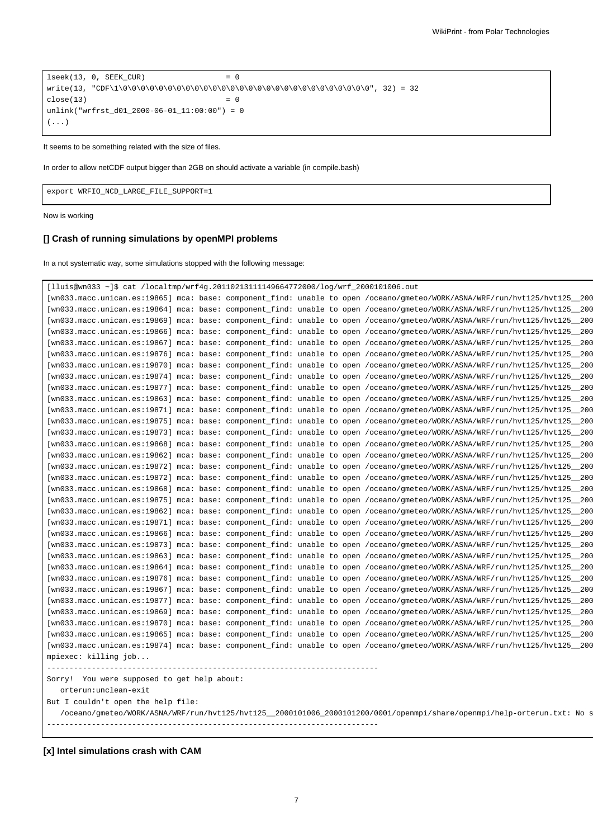```
lseek(13, 0, SEEK_CUR) = 0
write(13, "CDF\1\0\0\0\0\0\0\0\0\0\0\0\0\0\0\0\0\0\0\0\0\0\0\0\0\0\0\0\0", 32) = 32
close(13) = 0
unlink("wrfrst_d01_2000-06-01_11:00:00") = 0
(\ldots)
```
It seems to be something related with the size of files.

In order to allow netCDF output bigger than 2GB on should activate a variable (in compile.bash)

export WRFIO\_NCD\_LARGE\_FILE\_SUPPORT=1

Now is working

## **[] Crash of running simulations by openMPI problems**

In a not systematic way, some simulations stopped with the following message:

| But I couldn't open the help file:                                                                                                                                                                                                                     | /oceano/gmeteo/WORK/ASNA/WRF/run/hvt125/hvt125_2000101006_2000101200/0001/openmpi/share/openmpi/help-orterun.txt: No s |  |
|--------------------------------------------------------------------------------------------------------------------------------------------------------------------------------------------------------------------------------------------------------|------------------------------------------------------------------------------------------------------------------------|--|
| orterun:unclean-exit                                                                                                                                                                                                                                   |                                                                                                                        |  |
| Sorry! You were supposed to get help about:                                                                                                                                                                                                            |                                                                                                                        |  |
|                                                                                                                                                                                                                                                        |                                                                                                                        |  |
| [wn033.macc.unican.es:19874] mca: base: component find: unable to open /oceano/qmeteo/WORK/ASNA/WRF/run/hvt125/hvt125 200<br>mpiexec: killing job                                                                                                      |                                                                                                                        |  |
| [wn033.macc.unican.es:19865] mca: base: component_find: unable to open /oceano/gmeteo/WORK/ASNA/WRF/run/hvt125/hvt125_200                                                                                                                              |                                                                                                                        |  |
| [wn033.macc.unican.es:19870] mca: base: component_find: unable to open /oceano/gmeteo/WORK/ASNA/WRF/run/hvt125/hvt125_200                                                                                                                              |                                                                                                                        |  |
| [wn033.macc.unican.es:19869] mca: base: component_find: unable to open /oceano/gmeteo/WORK/ASNA/WRF/run/hvt125/hvt125_200                                                                                                                              |                                                                                                                        |  |
| [wn033.macc.unican.es:19877] mca: base: component_find: unable to open /oceano/gmeteo/WORK/ASNA/WRF/run/hvt125/hvt125_200                                                                                                                              |                                                                                                                        |  |
| [wn033.macc.unican.es:19867] mca: base: component_find: unable to open /oceano/gmeteo/WORK/ASNA/WRF/run/hvt125/hvt125_200                                                                                                                              |                                                                                                                        |  |
| [wn033.macc.unican.es:19876] mca: base: component_find: unable to open /oceano/gmeteo/WORK/ASNA/WRF/run/hvt125/hvt125_200                                                                                                                              |                                                                                                                        |  |
| [wn033.macc.unican.es:19864] mca: base: component find: unable to open /oceano/qmeteo/WORK/ASNA/WRF/run/hvt125/hvt125 200                                                                                                                              |                                                                                                                        |  |
| [wn033.macc.unican.es:19863] mca: base: component find: unable to open /oceano/qmeteo/WORK/ASNA/WRF/run/hvt125/hvt125 200                                                                                                                              |                                                                                                                        |  |
| [wn033.macc.unican.es:19873] mca: base: component_find: unable to open /oceano/gmeteo/WORK/ASNA/WRF/run/hvt125/hvt125_200                                                                                                                              |                                                                                                                        |  |
| [wn033.macc.unican.es:19866] mca: base: component_find: unable to open /oceano/gmeteo/WORK/ASNA/WRF/run/hvt125/hvt125_200                                                                                                                              |                                                                                                                        |  |
| [wn033.macc.unican.es:19871] mca: base: component_find: unable to open /oceano/gmeteo/WORK/ASNA/WRF/run/hvt125/hvt125_200                                                                                                                              |                                                                                                                        |  |
| [wn033.macc.unican.es:19862] mca: base: component_find: unable to open /oceano/gmeteo/WORK/ASNA/WRF/run/hvt125/hvt125_200                                                                                                                              |                                                                                                                        |  |
| [wn033.macc.unican.es:19875] mca: base: component_find: unable to open /oceano/gmeteo/WORK/ASNA/WRF/run/hvt125/hvt125_200                                                                                                                              |                                                                                                                        |  |
| [wn033.macc.unican.es:19868] mca: base: component_find: unable to open /oceano/gmeteo/WORK/ASNA/WRF/run/hvt125/hvt125_200                                                                                                                              |                                                                                                                        |  |
| [wn033.macc.unican.es:19872] mca: base: component find: unable to open /oceano/qmeteo/WORK/ASNA/WRF/run/hvt125/hvt125 200                                                                                                                              |                                                                                                                        |  |
| [wn033.macc.unican.es:19872] mca: base: component find: unable to open /oceano/qmeteo/WORK/ASNA/WRF/run/hvt125/hvt125 200                                                                                                                              |                                                                                                                        |  |
| [wn033.macc.unican.es:19862] mca: base: component_find: unable to open /oceano/gmeteo/WORK/ASNA/WRF/run/hvt125/hvt125_200                                                                                                                              |                                                                                                                        |  |
| [wn033.macc.unican.es:19868] mca: base: component_find: unable to open /oceano/gmeteo/WORK/ASNA/WRF/run/hvt125/hvt125_200                                                                                                                              |                                                                                                                        |  |
| [wn033.macc.unican.es:19873] mca: base: component_find: unable to open /oceano/gmeteo/WORK/ASNA/WRF/run/hvt125/hvt125_200                                                                                                                              |                                                                                                                        |  |
| [wn033.macc.unican.es:19875] mca: base: component_find: unable to open /oceano/gmeteo/WORK/ASNA/WRF/run/hvt125/hvt125_200                                                                                                                              |                                                                                                                        |  |
| [wn033.macc.unican.es:19871] mca: base: component_find: unable to open /oceano/gmeteo/WORK/ASNA/WRF/run/hvt125/hvt125_200                                                                                                                              |                                                                                                                        |  |
| [wn033.macc.unican.es:19863] mca: base: component_find: unable to open /oceano/gmeteo/WORK/ASNA/WRF/run/hvt125/hvt125_200                                                                                                                              |                                                                                                                        |  |
| [wn033.macc.unican.es:19877] mca: base: component_find: unable to open /oceano/gmeteo/WORK/ASNA/WRF/run/hvt125/hvt125_200                                                                                                                              |                                                                                                                        |  |
| [wn033.macc.unican.es:19870] mca: base: component_find: unable to open /oceano/gmeteo/WORK/ASNA/WRF/run/hvt125/hvt125_200<br>[wn033.macc.unican.es:19874] mca: base: component find: unable to open /oceano/qmeteo/WORK/ASNA/WRF/run/hvt125/hvt125 200 |                                                                                                                        |  |
| [wn033.macc.unican.es:19876] mca: base: component_find: unable to open /oceano/gmeteo/WORK/ASNA/WRF/run/hvt125/hvt125_200                                                                                                                              |                                                                                                                        |  |
| [wn033.macc.unican.es:19867] mca: base: component_find: unable to open /oceano/gmeteo/WORK/ASNA/WRF/run/hvt125/hvt125_200                                                                                                                              |                                                                                                                        |  |
| [wn033.macc.unican.es:19866] mca: base: component_find: unable to open /oceano/gmeteo/WORK/ASNA/WRF/run/hvt125/hvt125_200                                                                                                                              |                                                                                                                        |  |
| [wn033.macc.unican.es:19869] mca: base: component_find: unable to open /oceano/gmeteo/WORK/ASNA/WRF/run/hvt125/hvt125_200                                                                                                                              |                                                                                                                        |  |
| [wn033.macc.unican.es:19864] mca: base: component_find: unable to open /oceano/gmeteo/WORK/ASNA/WRF/run/hvt125/hvt125_200                                                                                                                              |                                                                                                                        |  |
| [wn033.macc.unican.es:19865] mca: base: component_find: unable to open /oceano/gmeteo/WORK/ASNA/WRF/run/hvt125/hvt125_200                                                                                                                              |                                                                                                                        |  |
|                                                                                                                                                                                                                                                        |                                                                                                                        |  |

**[x] Intel simulations crash with CAM**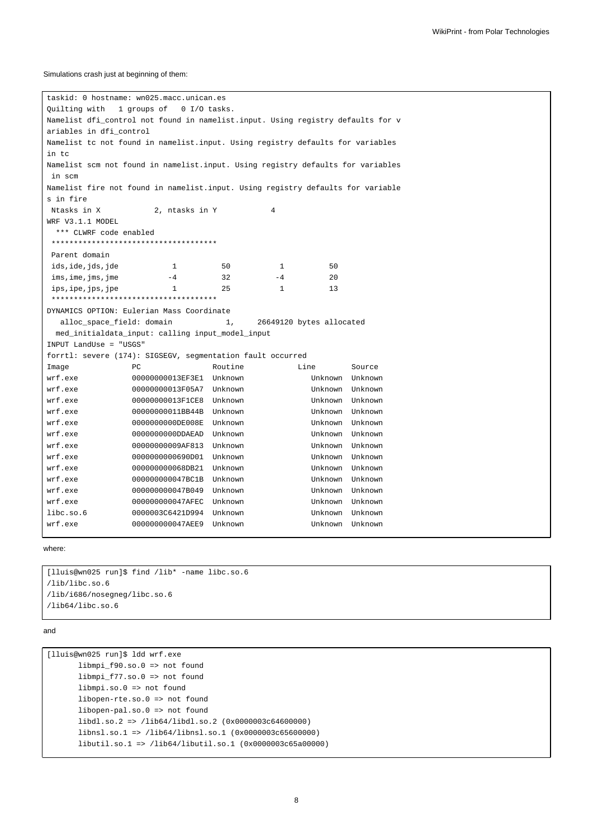#### Simulations crash just at beginning of them:

taskid: 0 hostname: wn025.macc.unican.es Quilting with 1 groups of 0 I/O tasks. Namelist dfi\_control not found in namelist.input. Using registry defaults for v ariables in dfi\_control Namelist tc not found in namelist.input. Using registry defaults for variables in tc Namelist scm not found in namelist.input. Using registry defaults for variables in scm Namelist fire not found in namelist.input. Using registry defaults for variable s in fire Ntasks in X 2, ntasks in Y 4 WRF V3.1.1 MODEL \*\*\* CLWRF code enabled \*\*\*\*\*\*\*\*\*\*\*\*\*\*\*\*\*\*\*\*\*\*\*\*\*\*\*\*\*\*\*\*\*\*\*\*\* Parent domain ids, ide, jds, jde 1 50 1 50  $\text{times, } \text{ime, } \text{time}$   $-4$   $32$   $-4$   $20$  $ips, ips, jpe$  1 25 1 13 \*\*\*\*\*\*\*\*\*\*\*\*\*\*\*\*\*\*\*\*\*\*\*\*\*\*\*\*\*\*\*\*\*\*\*\*\* DYNAMICS OPTION: Eulerian Mass Coordinate alloc\_space\_field: domain 1, 26649120 bytes allocated med\_initialdata\_input: calling input\_model\_input INPUT LandUse = "USGS" forrtl: severe (174): SIGSEGV, segmentation fault occurred Image  $PC$  Routine Line Source wrf.exe 00000000013EF3E1 Unknown Unknown Unknown wrf.exe 00000000013F05A7 Unknown Unknown Unknown wrf.exe 00000000013F1CE8 Unknown Unknown Unknown wrf.exe 00000000011BB44B Unknown Unknown Unknown wrf.exe 0000000000DE008E Unknown Unknown Unknown wrf.exe 0000000000DDAEAD Unknown Unknown Unknown wrf.exe 00000000009AF813 Unknown Unknown Unknown wrf.exe 0000000000690D01 Unknown Unknown Unknown wrf.exe 000000000068DB21 Unknown Unknown Unknown wrf.exe 000000000047BC1B Unknown Unknown Unknown wrf.exe 000000000047B049 Unknown Unknown Unknown wrf.exe 000000000047AFEC Unknown Unknown Unknown libc.so.6 0000003C6421D994 Unknown Unknown Unknown wrf.exe 000000000047AEE9 Unknown Unknown Unknown

where:

```
[lluis@wn025 run]$ find /lib* -name libc.so.6
/lib/libc.so.6
/lib/i686/nosegneg/libc.so.6
/lib64/libc.so.6
```
#### and

```
[lluis@wn025 run]$ ldd wrf.exe
      libmpi_f90.so.0 => not found
      libmpi_f77.so.0 => not found
      libmpi.so.0 => not found
      libopen-rte.so.0 => not found
      libopen-pal.so.0 => not found
      libdl.so.2 => /lib64/libdl.so.2 (0x0000003c64600000)
      libnsl.so.1 => /lib64/libnsl.so.1 (0x0000003c65600000)
      libutil.so.1 => /lib64/libutil.so.1 (0x0000003c65a00000)
```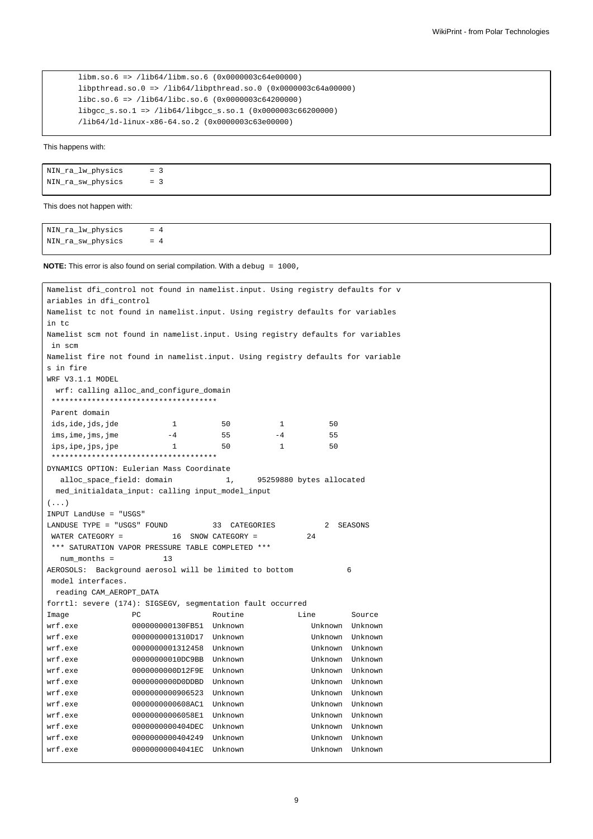```
libm.so.6 => /lib64/libm.so.6 (0x0000003c64e00000)
libpthread.so.0 => /lib64/libpthread.so.0 (0x0000003c64a00000)
libc.so.6 => /lib64/libc.so.6 (0x0000003c64200000)
libgcc_s.so.1 => /lib64/libgcc_s.so.1 (0x0000003c66200000)
/lib64/ld-linux-x86-64.so.2 (0x0000003c63e00000)
```
This happens with:

| NIN_ra_lw_physics | $=$ 3 |  |
|-------------------|-------|--|
| NIN_ra_sw_physics | $= 3$ |  |

This does not happen with:

| NIN_ra_lw_physics = 4 |  |  |  |
|-----------------------|--|--|--|
| NIN_ra_sw_physics = 4 |  |  |  |

**NOTE:** This error is also found on serial compilation. With a debug = 1000,

```
Namelist dfi_control not found in namelist.input. Using registry defaults for v
ariables in dfi_control
Namelist tc not found in namelist.input. Using registry defaults for variables
in tc
Namelist scm not found in namelist.input. Using registry defaults for variables
in scm
Namelist fire not found in namelist.input. Using registry defaults for variable
s in fire
WRF V3.1.1 MODEL
 wrf: calling alloc_and_configure_domain
 *************************************
Parent domain
ids, ide, jds, jde 1 50 1 50
ims, ime, jms, jme -4 55 -4 55ips, ipe, jps, jpe 1 50 1 50
 *************************************
DYNAMICS OPTION: Eulerian Mass Coordinate
  alloc_space_field: domain 1, 95259880 bytes allocated
 med_initialdata_input: calling input_model_input
( \ldots )INPUT LandUse = "USGS"
LANDUSE TYPE = "USGS" FOUND 33 CATEGORIES 2 SEASONS
WATER CATEGORY = 16 SNOW CATEGORY = 24
*** SATURATION VAPOR PRESSURE TABLE COMPLETED ***
  num_months = 13
AEROSOLS: Background aerosol will be limited to bottom 6
model interfaces.
 reading CAM_AEROPT_DATA
forrtl: severe (174): SIGSEGV, segmentation fault occurred
Image RC PC Routine Line Source
wrf.exe 000000000130FB51 Unknown Unknown Unknown
wrf.exe 0000000001310D17 Unknown Unknown Unknown
wrf.exe 0000000001312458 Unknown Unknown Unknown
wrf.exe 00000000010DC9BB Unknown Unknown Unknown
wrf.exe 0000000000D12F9E Unknown Unknown Unknown
wrf.exe 0000000000D0DDBD Unknown Unknown Unknown
wrf.exe 0000000000906523 Unknown Unknown Unknown
wrf.exe 0000000000608AC1 Unknown Unknown Unknown
wrf.exe 00000000006058E1 Unknown Unknown Unknown
wrf.exe 0000000000404DEC Unknown Unknown Unknown
wrf.exe 0000000000404249 Unknown Unknown Unknown
wrf.exe 00000000004041EC Unknown Unknown Unknown
```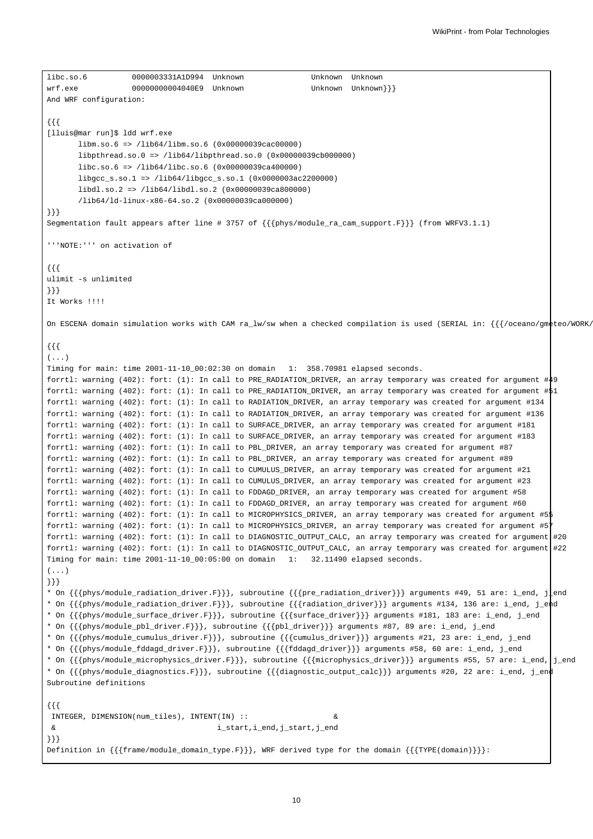```
libc.so.6 0000003331A1D994 Unknown Unknown Unknown
wrf.exe 000000000004040E9 Unknown Unknown Unknown \}
And WRF configuration:
{{{
[lluis@mar run]$ ldd wrf.exe
      libm.so.6 => /lib64/libm.so.6 (0x00000039cac00000)
      libpthread.so.0 => /lib64/libpthread.so.0 (0x00000039cb000000)
      libc.so.6 => /lib64/libc.so.6 (0x00000039ca400000)
      libgcc_s.so.1 => /lib64/libgcc_s.so.1 (0x0000003ac2200000)
      libdl.so.2 => /lib64/libdl.so.2 (0x00000039ca800000)
       /lib64/ld-linux-x86-64.so.2 (0x00000039ca000000)
}}}
Segmentation fault appears after line # 3757 of {{{phys/module_ra_cam_support.F}}} (from WRFV3.1.1)
'''NOTE:''' on activation of
{{{
ulimit -s unlimited
}}}
It Works !!!!
On ESCENA domain simulation works with CAM ra_lw/sw when a checked compilation is used (SERIAL in: {{{/oceano/gmeteo/WORK/
{{{
( \ldots )Timing for main: time 2001-11-10_00:02:30 on domain 1: 358.70981 elapsed seconds.
forrtl: warning (402): fort: (1): In call to PRE_RADIATION_DRIVER, an array temporary was created for argument #49
forrtl: warning (402): fort: (1): In call to PRE_RADIATION_DRIVER, an array temporary was created for argument #51
forrtl: warning (402): fort: (1): In call to RADIATION_DRIVER, an array temporary was created for argument #134
forrtl: warning (402): fort: (1): In call to RADIATION_DRIVER, an array temporary was created for argument #136
forrtl: warning (402): fort: (1): In call to SURFACE_DRIVER, an array temporary was created for argument #181
forrtl: warning (402): fort: (1): In call to SURFACE_DRIVER, an array temporary was created for argument #183
forrtl: warning (402): fort: (1): In call to PBL_DRIVER, an array temporary was created for argument #87
forrtl: warning (402): fort: (1): In call to PBL_DRIVER, an array temporary was created for argument #89
forrtl: warning (402): fort: (1): In call to CUMULUS_DRIVER, an array temporary was created for argument #21
forrtl: warning (402): fort: (1): In call to CUMULUS_DRIVER, an array temporary was created for argument #23
forrtl: warning (402): fort: (1): In call to FDDAGD_DRIVER, an array temporary was created for argument #58
forrtl: warning (402): fort: (1): In call to FDDAGD_DRIVER, an array temporary was created for argument #60
forrtl: warning (402): fort: (1): In call to MICROPHYSICS_DRIVER, an array temporary was created for argument #55
forrtl: warning (402): fort: (1): In call to MICROPHYSICS_DRIVER, an array temporary was created for argument #57
forrtl: warning (402): fort: (1): In call to DIAGNOSTIC_OUTPUT_CALC, an array temporary was created for argument #20
forrtl: warning (402): fort: (1): In call to DIAGNOSTIC_OUTPUT_CALC, an array temporary was created for argument #22
Timing for main: time 2001-11-10_00:05:00 on domain 1: 32.11490 elapsed seconds.
( \ldots )}}}
* On {{{phys/module_radiation_driver.F}}}, subroutine {{{pre_radiation_driver}}} arguments #49, 51 are: i_end, j_end
* On {{{phys/module_radiation_driver.F}}}, subroutine {{{radiation_driver}}} arguments #134, 136 are: i_end, j_end
* On {{{phys/module_surface_driver.F}}}, subroutine {{{surface_driver}}} arguments #181, 183 are: i_end, j_end
* On {{{phys/module_pbl_driver.F}}}, subroutine {{{pbl_driver}}} arguments #87, 89 are: i_end, j_end
* On {{{phys/module_cumulus_driver.F}}}, subroutine {{{cumulus_driver}}} arguments #21, 23 are: i_end, j_end
* On {{{phys/module_fddagd_driver.F}}}, subroutine {{{fddagd_driver}}} arguments #58, 60 are: i_end, j_end
* On {{{phys/module_microphysics_driver.F}}}, subroutine {{{microphysics_driver}}} arguments #55, 57 are: i_end, j_end
* On {{{phys/module_diagnostics.F}}}, subroutine {{{diagnostic_output_calc}}} arguments #20, 22 are: i_end, j_end
Subroutine definitions
{{{
INTEGER, DIMENSION(num_tiles), INTENT(IN) :: &
& i_start,i_end,j_start,j_end
}}}
Definition in {{{frame/module_domain_type.F}}}, WRF derived type for the domain {{{TYPE(domain)}}}:
```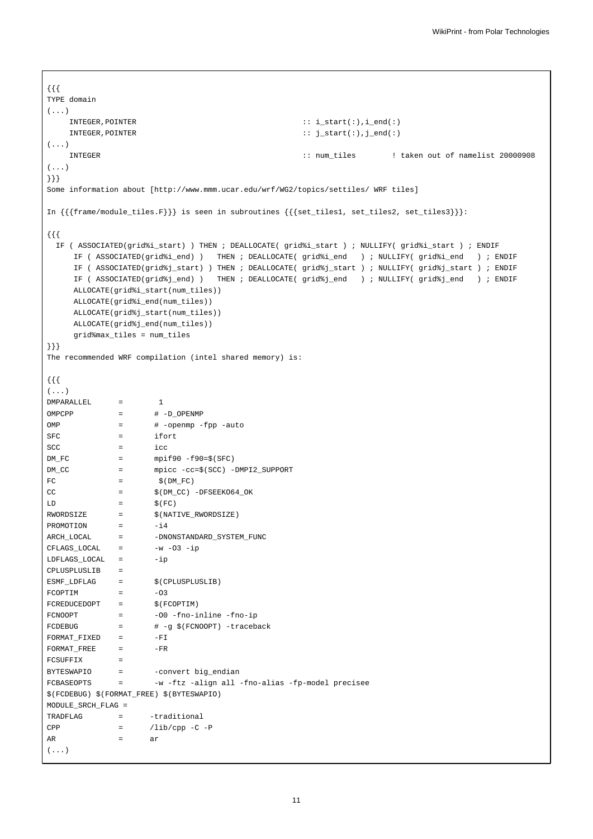```
{{{
TYPE domain
(...)
    INTEGER,POINTER :: i_start(:),i_end(:)
    INTEGER,POINTER :: j_start(:),j_end(:)
(...)
    INTEGER :: num_tiles ! taken out of namelist 20000908
(\ldots)}}}
Some information about [http://www.mmm.ucar.edu/wrf/WG2/topics/settiles/ WRF tiles]
In {{{frame/module_tiles.F}}} is seen in subroutines {{{set_tiles1, set_tiles2, set_tiles3}}}:
{{{
 IF ( ASSOCIATED(grid%i_start) ) THEN ; DEALLOCATE( grid%i_start ) ; NULLIFY( grid%i_start ) ; ENDIF
     IF ( ASSOCIATED(grid%i_end) ) THEN ; DEALLOCATE( grid%i_end ) ; NULLIFY( grid%i_end ) ; ENDIF
     IF ( ASSOCIATED(grid%j_start) ) THEN ; DEALLOCATE( grid%j_start ) ; NULLIFY( grid%j_start ) ; ENDIF
     IF ( ASSOCIATED(grid%j_end) ) THEN ; DEALLOCATE( grid%j_end ) ; NULLIFY( grid%j_end ) ; ENDIF
     ALLOCATE(grid%i_start(num_tiles))
     ALLOCATE(grid%i_end(num_tiles))
     ALLOCATE(grid%j_start(num_tiles))
     ALLOCATE(grid%j_end(num_tiles))
     grid%max_tiles = num_tiles
}}}
The recommended WRF compilation (intel shared memory) is:
{{{
(...)
DMPARALLEL = 1
OMPCPP = # -D_OPENMP
OMP = \# -openmp -fpp -auto
SFC = ifort
SCC = icc
DM\_FC = mpif90-f90=\frac{6}{5}(SFC)DM_CC = mpicc -cc=$(SCC) -DMPI2_SUPPORT
FC = \frac{1}{2} = \frac{1}{2} (DM_FC)
CC = \frac{1}{2} \frac{1}{2} \frac{1}{2} \frac{1}{2} \frac{1}{2} \frac{1}{2} \frac{1}{2} \frac{1}{2} \frac{1}{2} \frac{1}{2} \frac{1}{2} \frac{1}{2} \frac{1}{2} \frac{1}{2} \frac{1}{2} \frac{1}{2} \frac{1}{2} \frac{1}{2} \frac{1}{2} \frac{1}{2} \frac{1}{2} \frac{1}{LD = S(FC)RWORDSIZE = \hat{\varsigma}(\texttt{NATIVE\_RWORDSIZE})PROMOTION = -i4ARCH_LOCAL = - -DNONSTANDARD_SYSTEM_FUNC
CFLAGS\_LOCAL = -w -O3 -ip
LDFLAGS_LOCAL = -ip
CPLUSPLUSLIB =
\texttt{ESMF\_LDFLAG} \quad = \quad \quad \texttt{\$ (CPLUSPLUSLIB)}FCOPTIM = -03FCREDUCEDOPT = $ (FCOPTIM)FCNOOPT = -00 -fno-inline -fno-ip
FCDEBUG = \# -g \$ (FCNOOPT) -tracebackFORMAT_FIXED = -FIFORMAT_FREE = -FRFCSUFFIX =
BYTESWAPIO = - -convert big_endian
FCBASEOPTS = -w -ftz -align all -fno-alias -fp-model precisee
$(FCDEBUG) $(FORMAT_FREE) $(BYTESWAPIO)
MODULE_SRCH_FLAG =
TRADFLAG = - traditional
CPP = /lib/cpp -C -PAR = ar(...)
```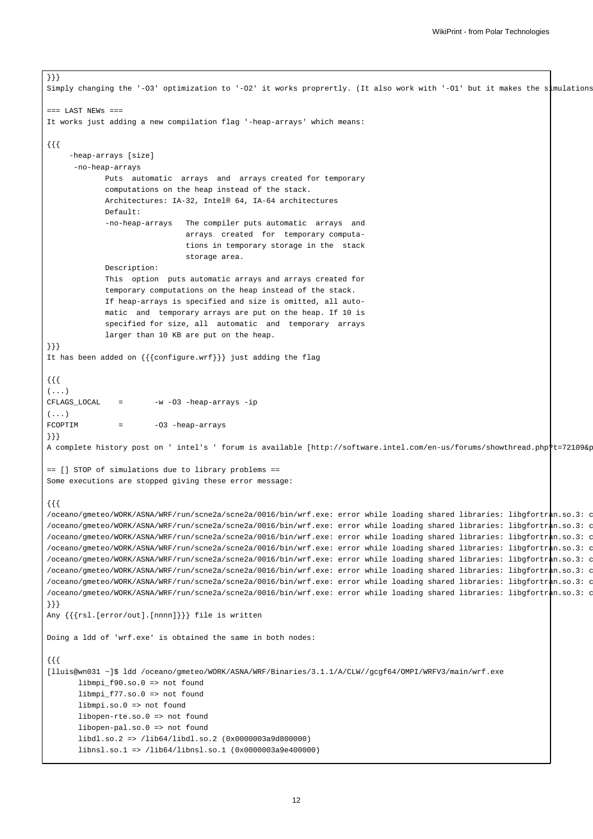```
}}}
Simply changing the '-O3' optimization to '-O2' it works proprertly. (It also work with '-O1' but it makes the simulations
== LAST NEWS ==It works just adding a new compilation flag '-heap-arrays' which means:
{{{
     -heap-arrays [size]
      -no-heap-arrays
             Puts automatic arrays and arrays created for temporary
             computations on the heap instead of the stack.
             Architectures: IA-32, Intel® 64, IA-64 architectures
             Default:
             -no-heap-arrays The compiler puts automatic arrays and
                                arrays created for temporary computa-
                                tions in temporary storage in the stack
                                storage area.
             Description:
             This option puts automatic arrays and arrays created for
             temporary computations on the heap instead of the stack.
             If heap-arrays is specified and size is omitted, all auto-
             matic and temporary arrays are put on the heap. If 10 is
             specified for size, all automatic and temporary arrays
             larger than 10 KB are put on the heap.
}}}
It has been added on {{{configure.wrf}}} just adding the flag
{{{
(\ldots)CFLAGS_LOCAL = -w -03 -heap-arrays -ip
(...)FCOPTIM = -03 -heap-arrays
}}}
A complete history post on ' intel's ' forum is available [http://software.intel.com/en-us/forums/showthread.php?t=72109&p=1 146890 intel forum is available [http://software.intel.com/en-us/forums/showthread.php?t=72109&p=
== [] STOP of simulations due to library problems ==
Some executions are stopped giving these error message:
{{{
/oceano/gmeteo/WORK/ASNA/WRF/run/scne2a/scne2a/0016/bin/wrf.exe: error while loading shared libraries: libgfortran.so.3: c
/oceano/gmeteo/WORK/ASNA/WRF/run/scne2a/scne2a/0016/bin/wrf.exe: error while loading shared libraries: libgfortran.so.3: c
/oceano/gmeteo/WORK/ASNA/WRF/run/scne2a/scne2a/0016/bin/wrf.exe: error while loading shared libraries: libgfortran.so.3: c
/oceano/gmeteo/WORK/ASNA/WRF/run/scne2a/scne2a/0016/bin/wrf.exe: error while loading shared libraries: libgfortran.so.3: c
/oceano/gmeteo/WORK/ASNA/WRF/run/scne2a/scne2a/0016/bin/wrf.exe: error while loading shared libraries: libgfortran.so.3: c
/oceano/gmeteo/WORK/ASNA/WRF/run/scne2a/scne2a/0016/bin/wrf.exe: error while loading shared libraries: libgfortran.so.3: c
/oceano/gmeteo/WORK/ASNA/WRF/run/scne2a/scne2a/0016/bin/wrf.exe: error while loading shared libraries: libgfortran.so.3: c
/oceano/gmeteo/WORK/ASNA/WRF/run/scne2a/scne2a/0016/bin/wrf.exe: error while loading shared libraries: libgfortran.so.3: c
}}}
Any {{{rsl.[error/out].[nnnn]}}} file is written
Doing a ldd of 'wrf.exe' is obtained the same in both nodes:
{{{
[lluis@wn031 ~]$ ldd /oceano/gmeteo/WORK/ASNA/WRF/Binaries/3.1.1/A/CLW//gcgf64/OMPI/WRFV3/main/wrf.exe
       libmpi_f90.so.0 => not found
       libmpi f77.so.0 => not found
       libmpi.so.0 => not found
       libopen-rte.so.0 => not found
       libopen-pal.so.0 => not found
       libdl.so.2 => /lib64/libdl.so.2 (0x0000003a9d800000)
       libnsl.so.1 => /lib64/libnsl.so.1 (0x0000003a9e400000)
```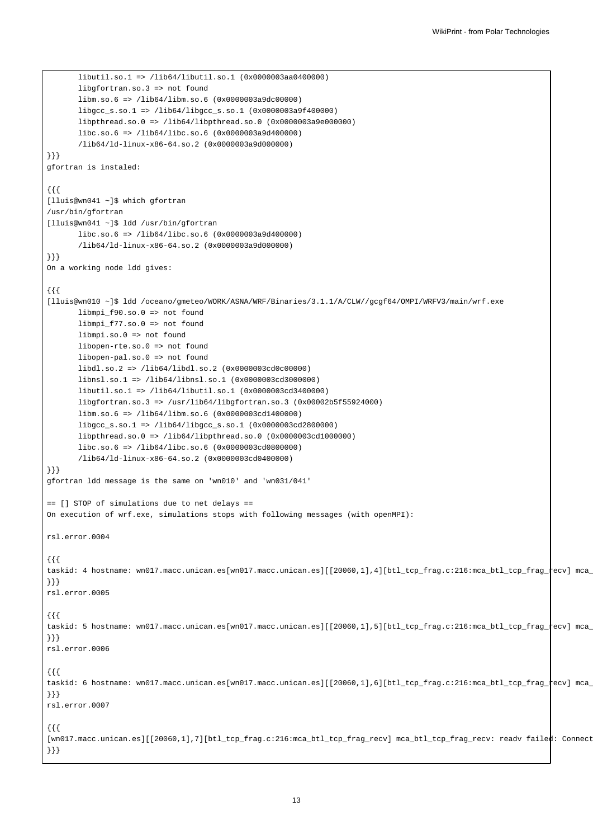```
libutil.so.1 => /lib64/libutil.so.1 (0x0000003aa0400000)
       libgfortran.so.3 => not found
       libm.so.6 => /lib64/libm.so.6 (0x0000003a9dc00000)
       libgcc_s.so.1 => /lib64/libgcc_s.so.1 (0x0000003a9f400000)
       libpthread.so.0 => /lib64/libpthread.so.0 (0x0000003a9e000000)
       libc.so.6 => /lib64/libc.so.6 (0x0000003a9d400000)
       /lib64/ld-linux-x86-64.so.2 (0x0000003a9d000000)
}}}
gfortran is instaled:
{{{
[lluis@wn041 ~]$ which gfortran
/usr/bin/gfortran
[lluis@wn041 ~]$ ldd /usr/bin/gfortran
      libc.so.6 => /lib64/libc.so.6 (0x0000003a9d400000)
       /lib64/ld-linux-x86-64.so.2 (0x0000003a9d000000)
}}}
On a working node ldd gives:
{{{
[lluis@wn010 ~]$ ldd /oceano/gmeteo/WORK/ASNA/WRF/Binaries/3.1.1/A/CLW//gcgf64/OMPI/WRFV3/main/wrf.exe
      libmpi f90.so.0 => not found
       libmpi_f77.so.0 => not found
       libmpi.so.0 => not found
       libopen-rte.so.0 => not found
       libopen-pal.so.0 => not found
       libdl.so.2 => /lib64/libdl.so.2 (0x0000003cd0c00000)
       libnsl.so.1 => /lib64/libnsl.so.1 (0x0000003cd3000000)
       libutil.so.1 => /lib64/libutil.so.1 (0x0000003cd3400000)
       libgfortran.so.3 => /usr/lib64/libgfortran.so.3 (0x00002b5f55924000)
       libm.so.6 => /lib64/libm.so.6 (0x0000003cd1400000)
       libgcc_s.so.1 => /lib64/libgcc_s.so.1 (0x0000003cd2800000)
       libpthread.so.0 => /lib64/libpthread.so.0 (0x0000003cd1000000)
       libc.so.6 => /lib64/libc.so.6 (0x0000003cd0800000)
       /lib64/ld-linux-x86-64.so.2 (0x0000003cd0400000)
}}}
gfortran ldd message is the same on 'wn010' and 'wn031/041'
== [] STOP of simulations due to net delays ==
On execution of wrf.exe, simulations stops with following messages (with openMPI):
rsl.error.0004
{{{
taskid: 4 hostname: wn017.macc.unican.es[wn017.macc.unican.es][[20060,1],4][btl_tcp_frag.c:216:mca_btl_tcp_frag_recv] mca_
}}}
rsl.error.0005
{{{
taskid: 5 hostname: wn017.macc.unican.es[wn017.macc.unican.es][[20060,1],5][btl_tcp_frag.c:216:mca_btl_tcp_frag_tecv] mca_
}}}
rsl.error.0006
{{{
taskid: 6 hostname: wn017.macc.unican.es[wn017.macc.unican.es][[20060,1],6][btl_tcp_frag.c:216:mca_btl_tcp_frag_recv] mca_
}}}
rsl.error.0007
{{{
[wn017.macc.unican.es][[20060,1],7][btl_tcp_frag.c:216:mca_btl_tcp_frag_recv] mca_btl_tcp_frag_recv: readv_failed: Connect
}}}
```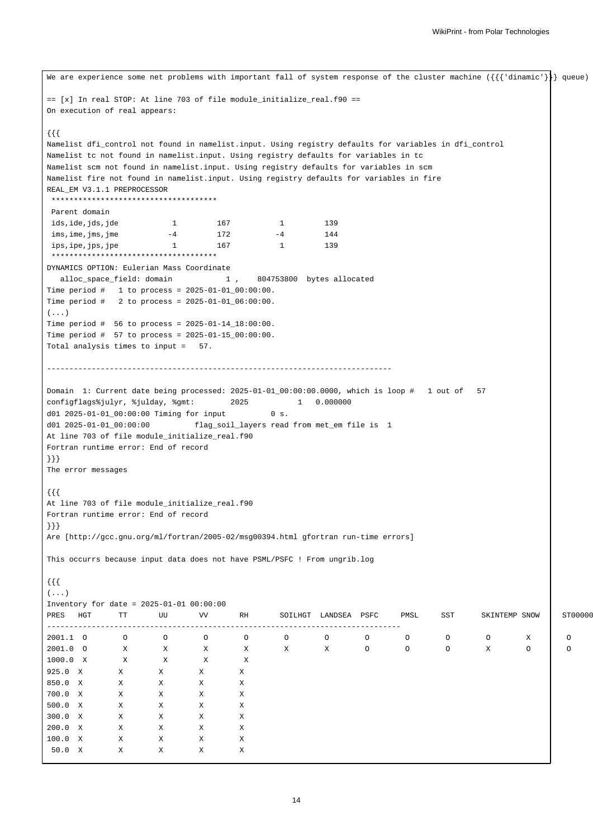```
We are experience some net problems with important fall of system response of the cluster machine ({{{'dinamic'}}} queue)
== [x] In real STOP: At line 703 of file module_initialize_real.f90 ==
On execution of real appears:
{{{
Namelist dfi_control not found in namelist.input. Using registry defaults for variables in dfi_control
Namelist tc not found in namelist.input. Using registry defaults for variables in tc
Namelist scm not found in namelist.input. Using registry defaults for variables in scm
Namelist fire not found in namelist.input. Using registry defaults for variables in fire
REAL_EM V3.1.1 PREPROCESSOR
*************************************
Parent domain
ids, ide, jds, jde 1 167 1 139
ims, ime, jms, jme -4 172 -4 144
ips, ipe, jps, jpe 1 167 1 139
*************************************
DYNAMICS OPTION: Eulerian Mass Coordinate
 alloc_space_field: domain 1 , 804753800 bytes allocated
Time period # 1 to process = 2025-01-01_00:00:00.
Time period # 2 to process = 2025-01-01_06:00:00.
(...)Time period # 56 to process = 2025-01-14_18:00:00.
Time period # 57 to process = 2025-01-15_00:00:00.
Total analysis times to input = 57.
 -----------------------------------------------------------------------------
Domain 1: Current date being processed: 2025-01-01_00:00:00.0000, which is loop # 1 out of 57
configflags%julyr, %julday, %gmt: 2025 1 0.000000
d01 2025-01-01_00:00:00 Timing for input 0 s.
d01 2025-01-01_00:00:00 flag_soil_layers read from met_em file is 1
At line 703 of file module_initialize_real.f90
Fortran runtime error: End of record
}}}
The error messages
{{{
At line 703 of file module_initialize_real.f90
Fortran runtime error: End of record
}}}
Are [http://gcc.gnu.org/ml/fortran/2005-02/msg00394.html gfortran run-time errors]
This occurrs because input data does not have PSML/PSFC ! From ungrib.log
{{{
( \ldots )Inventory for date = 2025-01-01 00:00:00
PRES HGT TT UU VV RH SOILHGT LANDSEA PSFC PMSL SST SKINTEMP SNOW ST00000
-------------------------------------------------------------------------------
2001.1 O O O O O O O O O O O X O O O O O O O O
2001.0 O X X X X X X X O O O X O O O
1000.0 X X X X X
925.0 X X X X X
850.0 X X X X X
700.0 X X X X X
500.0 X X X X X
300.0 X X X X X
200.0 X X X X X
100.0 X X X X X
50.0 X X X X X
```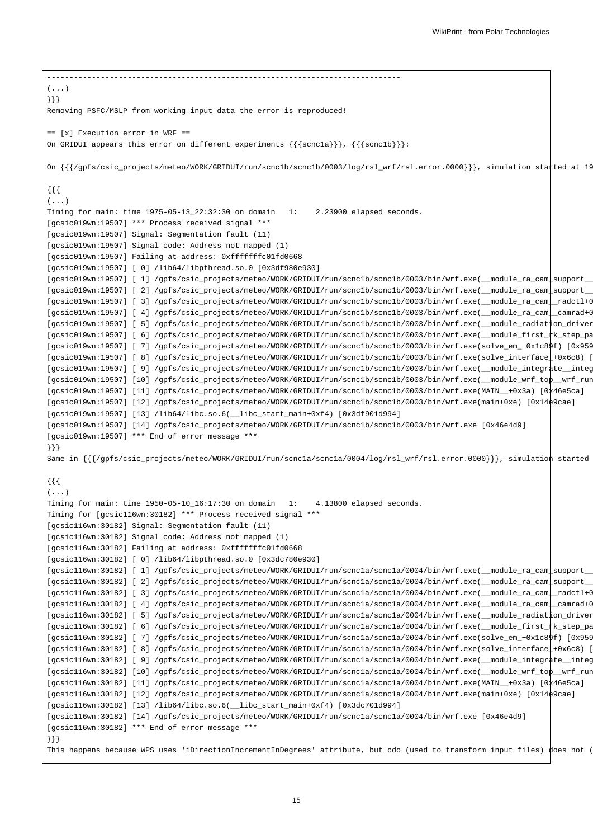------------------------------------------------------------------------------- (...) }}} Removing PSFC/MSLP from working input data the error is reproduced! == [x] Execution error in WRF == On GRIDUI appears this error on different experiments {{{scnc1a}}}, {{{scnc1b}}}: On  $\{\{\}/\text{gpfs}/\text{csic\_projects/meteo}/\text{WOK}/\text{GRIDUI}/\text{run}/\text{scnclb}/\text{scnclb}/0003/\log/rsl\_wrf/rsl.error.0000\}\}$ , simulation statted at 19 {{{  $( \ldots )$ Timing for main: time 1975-05-13\_22:32:30 on domain 1: 2.23900 elapsed seconds. [gcsic019wn:19507] \*\*\* Process received signal \*\*\* [gcsic019wn:19507] Signal: Segmentation fault (11) [gcsic019wn:19507] Signal code: Address not mapped (1) [gcsic019wn:19507] Failing at address: 0xfffffffc01fd0668 [gcsic019wn:19507] [ 0] /lib64/libpthread.so.0 [0x3df980e930] [gcsic019wn:19507] [ 1] /gpfs/csic\_projects/meteo/WORK/GRIDUI/run/scnc1b/scnc1b/0003/bin/wrf.exe(\_module\_ra\_cam\_support\_ [gcsic019wn:19507] [ 2] /gpfs/csic\_projects/meteo/WORK/GRIDUI/run/scnc1b/scnc1b/0003/bin/wrf.exe(\_module\_ra\_cam\_support\_ [gcsic019wn:19507] [ 3] /gpfs/csic\_projects/meteo/WORK/GRIDUI/run/scnc1b/scnc1b/0003/bin/wrf.exe(\_module\_ra\_cam\_radct1+0 [gcsic019wn:19507] [ 4] /gpfs/csic\_projects/meteo/WORK/GRIDUI/run/scnc1b/scnc1b/0003/bin/wrf.exe(\_module\_ra\_cam\_camrad+0x584d) [gcsic019wn:19507] [ 5] /gpfs/csic\_projects/meteo/WORK/GRIDUI/run/scnc1b/scnc1b/0003/bin/wrf.exe(\_module\_radiation\_driver [gcsic019wn:19507] [ 6] /gpfs/csic\_projects/meteo/WORK/GRIDUI/run/scnc1b/scnc1b/0003/bin/wrf.exe(\_module\_first\_ $\frac{1}{4}$ k\_step\_pa [gcsic019wn:19507] [ 7] /gpfs/csic\_projects/meteo/WORK/GRIDUI/run/scnc1b/scnc1b/0003/bin/wrf.exe(solve\_em\_+0x1c89f) [0x95939f] [gcsic019wn:19507] [ 8] /gpfs/csic\_projects/meteo/WORK/GRIDUI/run/scnc1b/scnc1b/0003/bin/wrf.exe(solve\_interface\_+0x6c8) [ [gcsic019wn:19507] [ 9] /gpfs/csic\_projects/meteo/WORK/GRIDUI/run/scnc1b/scnc1b/0003/bin/wrf.exe(\_module\_integrate\_integ [gcsic019wn:19507] [10] /gpfs/csic\_projects/meteo/WORK/GRIDUI/run/scnc1b/scnc1b/0003/bin/wrf.exe(\_module\_wrf\_top\_\_wrf\_run+0x22) [0x46ef22] [0x46ef2] [0x46ef22] [0x46ef22] [0x46ef22] [0x46ef22] [0x46ef22] [0x46ef22] [0x46ef [gcsic019wn:19507] [11] /gpfs/csic\_projects/meteo/WORK/GRIDUI/run/scnc1b/scnc1b/0003/bin/wrf.exe(MAIN\_\_+0x3a) [0x46e5ca] [gcsic019wn:19507] [12] /gpfs/csic\_projects/meteo/WORK/GRIDUI/run/scnc1b/scnc1b/0003/bin/wrf.exe(main+0xe) [0x14e9cae] [gcsic019wn:19507] [13] /lib64/libc.so.6(\_\_libc\_start\_main+0xf4) [0x3df901d994] [gcsic019wn:19507] [14] /gpfs/csic\_projects/meteo/WORK/GRIDUI/run/scnc1b/scnc1b/0003/bin/wrf.exe [0x46e4d9] [gcsic019wn:19507] \*\*\* End of error message \*\*\* }}} Same in  $\{ {\} /$ gpfs/csic\_projects/meteo/WORK/GRIDUI/run/scnc1a/scnc1a/0004/log/rsl\_wrf/rsl.error.0000}}}, simulation started {{{ (...) Timing for main: time 1950-05-10\_16:17:30 on domain 1: 4.13800 elapsed seconds. Timing for [gcsic116wn:30182] \*\*\* Process received signal \*\*\* [gcsic116wn:30182] Signal: Segmentation fault (11) [gcsic116wn:30182] Signal code: Address not mapped (1) [gcsic116wn:30182] Failing at address: 0xfffffffc01fd0668 [gcsic116wn:30182] [ 0] /lib64/libpthread.so.0 [0x3dc780e930] [gcsic116wn:30182] [ 1] /gpfs/csic\_projects/meteo/WORK/GRIDUI/run/scnc1a/scnc1a/0004/bin/wrf.exe(\_module\_ra\_cam\_support\_ [gcsic116wn:30182] [ 2] /gpfs/csic\_projects/meteo/WORK/GRIDUI/run/scnc1a/scnc1a/0004/bin/wrf.exe(\_\_module\_ra\_cam\_support\_ [gcsic116wn:30182] [ 3] /gpfs/csic\_projects/meteo/WORK/GRIDUI/run/scnc1a/scnc1a/0004/bin/wrf.exe(\_module\_ra\_cam\_radct1+0 [gcsic116wn:30182] [ 4] /gpfs/csic\_projects/meteo/WORK/GRIDUI/run/scnc1a/scnc1a/0004/bin/wrf.exe(\_module\_ra\_cam\_camrad+0x584d) [gcsic116wn:30182] [ 5] /gpfs/csic\_projects/meteo/WORK/GRIDUI/run/scnc1a/scnc1a/0004/bin/wrf.exe(\_module\_radiation\_driver [gcsic116wn:30182] [ 6] /gpfs/csic\_projects/meteo/WORK/GRIDUI/run/scnc1a/scnc1a/0004/bin/wrf.exe(\_module\_first\_ $k$ \_step\_pa [gcsic116wn:30182] [ 7] /gpfs/csic\_projects/meteo/WORK/GRIDUI/run/scnc1a/scnc1a/0004/bin/wrf.exe(solve\_em\_+0x1c89f) [0x95939f] [gcsic116wn:30182] [ 8] /gpfs/csic\_projects/meteo/WORK/GRIDUI/run/scnc1a/scnc1a/0004/bin/wrf.exe(solve\_interface\_+0x6c8) [0x635e30] [gcsic116wn:30182] [ 9] /gpfs/csic\_projects/meteo/WORK/GRIDUI/run/scnc1a/scnc1a/0004/bin/wrf.exe(\_module\_integrate\_integ [gcsic116wn:30182] [10] /gpfs/csic\_projects/meteo/WORK/GRIDUI/run/scnc1a/scnc1a/0004/bin/wrf.exe(\_module\_wrf\_top\_\_wrf\_run [gcsic116wn:30182] [11] /gpfs/csic\_projects/meteo/WORK/GRIDUI/run/scnc1a/scnc1a/0004/bin/wrf.exe(MAIN\_\_+0x3a) [0x46e5ca] [gcsic116wn:30182] [12] /gpfs/csic\_projects/meteo/WORK/GRIDUI/run/scnc1a/scnc1a/0004/bin/wrf.exe(main+0xe) [0x14e9cae]  $[qcsic116wn:30182] [13] /lib64/libe.so.6($  libc start main+0xf4)  $[0x3dc701d994]$ [gcsic116wn:30182] [14] /gpfs/csic\_projects/meteo/WORK/GRIDUI/run/scnc1a/scnc1a/0004/bin/wrf.exe [0x46e4d9] [gcsic116wn:30182] \*\*\* End of error message \*\*\* }}} This happens because WPS uses 'iDirectionIncrementInDegrees' attribute, but cdo (used to transform input files) does not (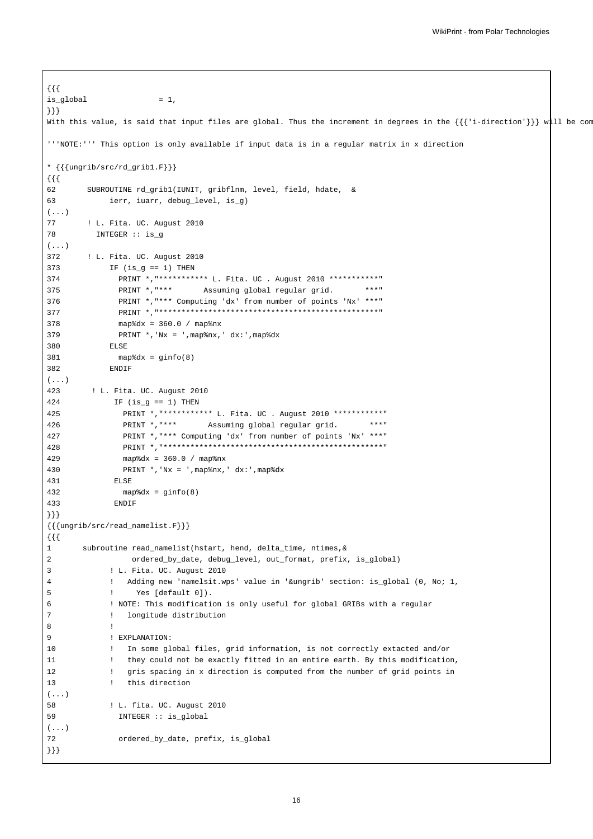```
{{{
is\_global = 1,
}}}
With this value, is said that input files are global. Thus the increment in degrees in the \{\{\{\text{'i-direction'}\}\}\}\text{ with }'''NOTE:''' This option is only available if input data is in a regular matrix in x direction
* {{{ungrib/src/rd_grib1.F}}}
{{{
62 SUBROUTINE rd_grib1(IUNIT, gribflnm, level, field, hdate, &
63 ierr, iuarr, debug_level, is_g)
(\ldots)77 ! L. Fita. UC. August 2010
78 INTEGER :: is_g
( \ldots )372 ! L. Fita. UC. August 2010
373 IF (is_g == 1) THEN
374 PRINT *,"*********** L. Fita. UC . August 2010 ***********"
375 PRINT *,"*** Assuming global regular grid. ***"
376 PRINT *,"*** Computing 'dx' from number of points 'Nx' ***"
377 PRINT *,"*************************************************"
378 map%dx = 360.0 / map%nx
379 PRINT *,'Nx = ',map%nx,' dx:',map%dx
380 ELSE
381 map%dx = ginfo(8)
382 ENDIF
(...)
423 ! L. Fita. UC. August 2010
424 IF (is_g == 1) THEN
425 PRINT *,"*********** L. Fita. UC . August 2010 ***********"
426 PRINT *,"*** Assuming global regular grid. ***"
427 PRINT *,"*** Computing 'dx' from number of points 'Nx' ***"
428 PRINT *,"*************************************************"
429 map%dx = 360.0 / map%nx
430 PRINT *,'Nx = ',map%nx,' dx:',map%dx
431 ELSE
432 map%dx = ginfo(8)
433 ENDIF
}}}
{{{ungrib/src/read_namelist.F}}}
{{{
1 subroutine read_namelist(hstart, hend, delta_time, ntimes,&
2 ordered_by_date, debug_level, out_format, prefix, is_global)
3 ! L. Fita. UC. August 2010
4 ! Adding new 'namelsit.wps' value in '&ungrib' section: is_global (0, No; 1,
5 ! Yes [default 0]).
6 ! NOTE: This modification is only useful for global GRIBs with a regular
7 ! longitude distribution
8 !
9 ! EXPLANATION:
10 ! In some global files, grid information, is not correctly extacted and/or
11 ! they could not be exactly fitted in an entire earth. By this modification,
12 ! gris spacing in x direction is computed from the number of grid points in
13 ! this direction
(...)
58 ! L. fita. UC. August 2010
59 INTEGER :: is_global
(...)72 ordered by date, prefix, is global
}}}
```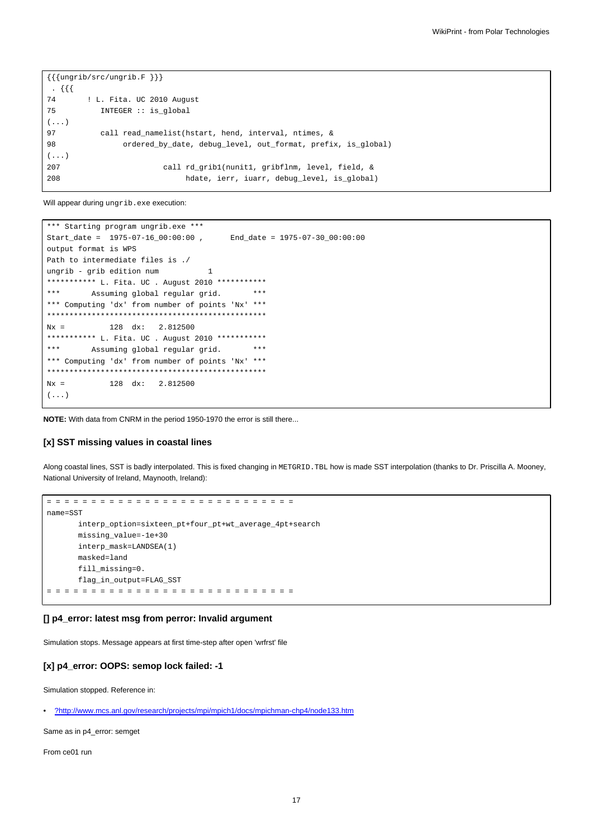```
\{\{\{\text{ungrib/src/ungrib.F }\}\}\}\. {{{
74 ! L. Fita. UC 2010 August
75 INTEGER :: is_global
(...)
97 call read_namelist(hstart, hend, interval, ntimes, &
98 ordered_by_date, debug_level, out_format, prefix, is_global)
(...)
207 call rd_grib1(nunit1, gribflnm, level, field, &
208 hdate, ierr, iuarr, debug_level, is_global)
```
Will appear during ungrib.exe execution:

```
*** Starting program ungrib.exe ***
Start_date = 1975-07-16_00:00:00 , End_date = 1975-07-30_00:00:00
output format is WPS
Path to intermediate files is ./
ungrib - grib edition num 1
*********** L. Fita. UC . August 2010 ************
*** Assuming global regular grid. ***
*** Computing 'dx' from number of points 'Nx' ***
*************************************************
Nx = 128 dx: 2.812500
*********** L. Fita. UC . August 2010 ************
*** Assuming global regular grid. ***
*** Computing 'dx' from number of points 'Nx' ***
*************************************************
Nx = 128 dx: 2.812500
(\ldots)
```
**NOTE:** With data from CNRM in the period 1950-1970 the error is still there...

#### **[x] SST missing values in coastal lines**

Along coastal lines, SST is badly interpolated. This is fixed changing in METGRID.TBL how is made SST interpolation (thanks to Dr. Priscilla A. Mooney, National University of Ireland, Maynooth, Ireland):

```
= = = = = = = = = = = = = = = = = = = = = = = = = = = =
name=SST
      interp_option=sixteen_pt+four_pt+wt_average_4pt+search
      missing_value=-1e+30
      interp_mask=LANDSEA(1)
      masked=land
      fill_missing=0.
      flag_in_output=FLAG_SST
= = = = = = = = = = = = = = = = = = = = = = = = = = = =
```
### **[] p4\_error: latest msg from perror: Invalid argument**

Simulation stops. Message appears at first time-step after open 'wrfrst' file

### **[x] p4\_error: OOPS: semop lock failed: -1**

Simulation stopped. Reference in:

• [?http://www.mcs.anl.gov/research/projects/mpi/mpich1/docs/mpichman-chp4/node133.htm](http://www.mcs.anl.gov/research/projects/mpi/mpich1/docs/mpichman-chp4/node133.htm)

Same as in p4\_error: semget

From ce01 run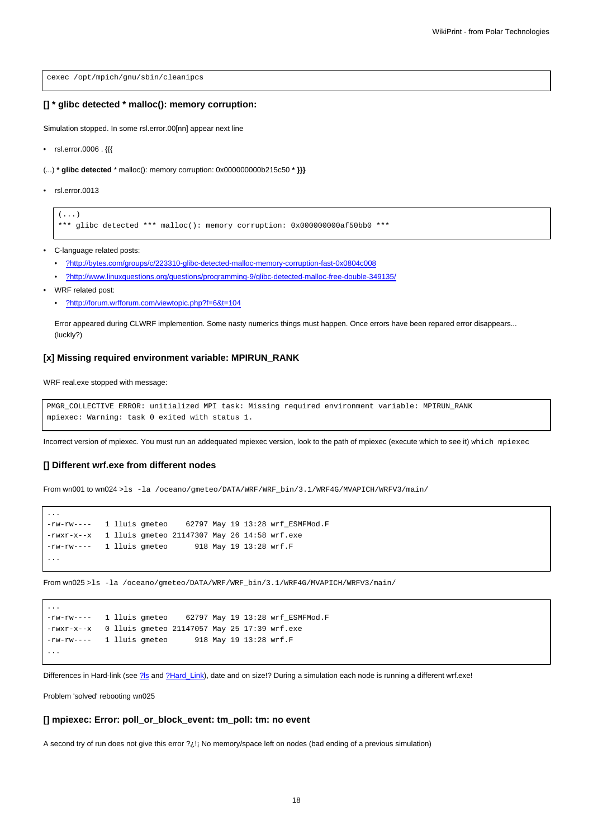cexec /opt/mpich/gnu/sbin/cleanipcs

### **[] \* glibc detected \* malloc(): memory corruption:**

Simulation stopped. In some rsl.error.00[nn] appear next line

• rsl.error.0006 . {{{

(...) **\* glibc detected** \* malloc(): memory corruption: 0x000000000b215c50 **\* }}}**

• rsl.error.0013

 $($ ... $)$ 

```
*** glibc detected *** malloc(): memory corruption: 0x000000000af50bb0 ***
```
• C-language related posts:

- [?http://bytes.com/groups/c/223310-glibc-detected-malloc-memory-corruption-fast-0x0804c008](http://bytes.com/groups/c/223310-glibc-detected-malloc-memory-corruption-fast-0x0804c008)
- [?http://www.linuxquestions.org/questions/programming-9/glibc-detected-malloc-free-double-349135/](http://www.linuxquestions.org/questions/programming-9/glibc-detected-malloc-free-double-349135/)
- WRF related post:

...

...

• [?http://forum.wrfforum.com/viewtopic.php?f=6&t=104](http://forum.wrfforum.com/viewtopic.php?f=6&t=104)

Error appeared during CLWRF implemention. Some nasty numerics things must happen. Once errors have been repared error disappears... (luckly?)

#### **[x] Missing required environment variable: MPIRUN\_RANK**

WRF real.exe stopped with message:

```
PMGR_COLLECTIVE ERROR: unitialized MPI task: Missing required environment variable: MPIRUN_RANK
mpiexec: Warning: task 0 exited with status 1.
```
Incorrect version of mpiexec. You must run an addequated mpiexec version, look to the path of mpiexec (execute which to see it) which mpiexec

#### **[] Different wrf.exe from different nodes**

From wn001 to wn024 >ls -la /oceano/gmeteo/DATA/WRF/WRF\_bin/3.1/WRF4G/MVAPICH/WRFV3/main/

```
-rw-rw---- 1 lluis gmeteo 62797 May 19 13:28 wrf_ESMFMod.F
-rwxr-x--x 1 lluis gmeteo 21147307 May 26 14:58 wrf.exe
-rw-rw---- 1 lluis gmeteo 918 May 19 13:28 wrf.F
...
```
From wn025 >ls -la /oceano/gmeteo/DATA/WRF/WRF\_bin/3.1/WRF4G/MVAPICH/WRFV3/main/

```
-rw-rw---- 1 lluis gmeteo 62797 May 19 13:28 wrf_ESMFMod.F
-rwxr-x--x 0 lluis gmeteo 21147057 May 25 17:39 wrf.exe
-rw-rw---- 1 lluis gmeteo 918 May 19 13:28 wrf.F
...
```
Differences in Hard-link (see [?ls](http://en.wikipedia.org/wiki/Ls) and [?Hard\\_Link\)](http://en.wikipedia.org/wiki/Hard_link), date and on size!? During a simulation each node is running a different wrf.exe!

Problem 'solved' rebooting wn025

#### **[] mpiexec: Error: poll\_or\_block\_event: tm\_poll: tm: no event**

A second try of run does not give this error ?¿!¡ No memory/space left on nodes (bad ending of a previous simulation)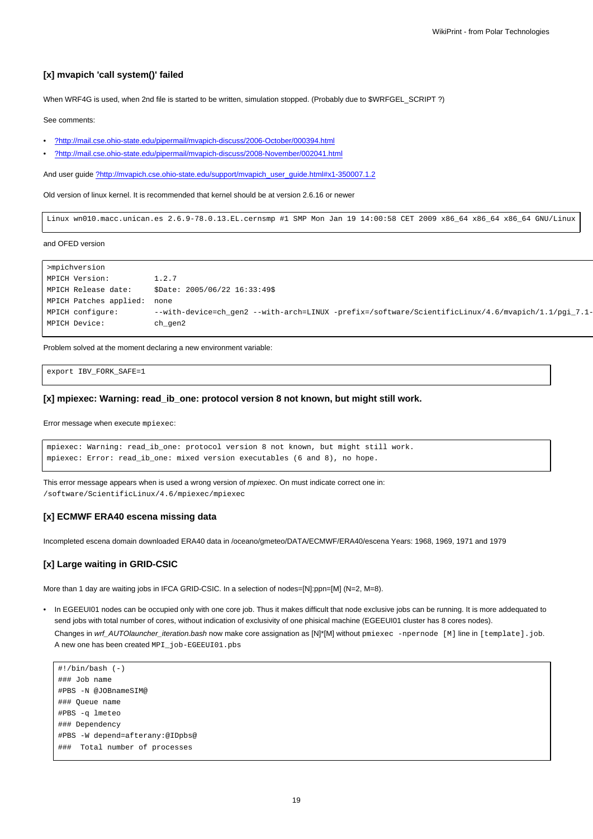### **[x] mvapich 'call system()' failed**

When WRF4G is used, when 2nd file is started to be written, simulation stopped. (Probably due to \$WRFGEL\_SCRIPT ?)

See comments:

- [?http://mail.cse.ohio-state.edu/pipermail/mvapich-discuss/2006-October/000394.html](http://mail.cse.ohio-state.edu/pipermail/mvapich-discuss/2006-October/000394.html)
- [?http://mail.cse.ohio-state.edu/pipermail/mvapich-discuss/2008-November/002041.html](http://mail.cse.ohio-state.edu/pipermail/mvapich-discuss/2008-November/002041.html)

And user guide [?http://mvapich.cse.ohio-state.edu/support/mvapich\\_user\\_guide.html#x1-350007.1.2](http://mvapich.cse.ohio-state.edu/support/mvapich_user_guide.html#x1-350007.1.2)

Old version of linux kernel. It is recommended that kernel should be at version 2.6.16 or newer

Linux wn010.macc.unican.es 2.6.9-78.0.13.EL.cernsmp #1 SMP Mon Jan 19 14:00:58 CET 2009 x86\_64 x86\_64 x86\_64 GNU/Linux

and OFED version

```
>mpichversion
MPICH Version: 1.2.7
MPICH Release date: $Date: 2005/06/22 16:33:49$
MPICH Patches applied: none
MPICH configure: --with-device=ch_gen2 --with-arch=LINUX -prefix=/software/ScientificLinux/4.6/mvapich/1.1/pgi_7.1-
MPICH Device: ch_gen2
```
Problem solved at the moment declaring a new environment variable:

export IBV\_FORK\_SAFE=1

#### **[x] mpiexec: Warning: read\_ib\_one: protocol version 8 not known, but might still work.**

Error message when execute mpiexec:

```
mpiexec: Warning: read_ib_one: protocol version 8 not known, but might still work.
mpiexec: Error: read_ib_one: mixed version executables (6 and 8), no hope.
```
This error message appears when is used a wrong version of mpiexec. On must indicate correct one in: /software/ScientificLinux/4.6/mpiexec/mpiexec

### **[x] ECMWF ERA40 escena missing data**

Incompleted escena domain downloaded ERA40 data in /oceano/gmeteo/DATA/ECMWF/ERA40/escena Years: 1968, 1969, 1971 and 1979

### **[x] Large waiting in GRID-CSIC**

More than 1 day are waiting jobs in IFCA GRID-CSIC. In a selection of nodes=[N]:ppn=[M] (N=2, M=8).

• In EGEEUI01 nodes can be occupied only with one core job. Thus it makes difficult that node exclusive jobs can be running. It is more addequated to send jobs with total number of cores, without indication of exclusivity of one phisical machine (EGEEUI01 cluster has 8 cores nodes).

Changes in wrf\_AUTOlauncher\_iteration.bash now make core assignation as [N]\*[M] without pmiexec -npernode [M] line in [template].job. A new one has been created MPI\_job-EGEEUI01.pbs

```
#!/bin/bash (-)
### Job name
#PBS -N @JOBnameSIM@
### Queue name
#PBS -q lmeteo
### Dependency
#PBS -W depend=afterany:@IDpbs@
### Total number of processes
```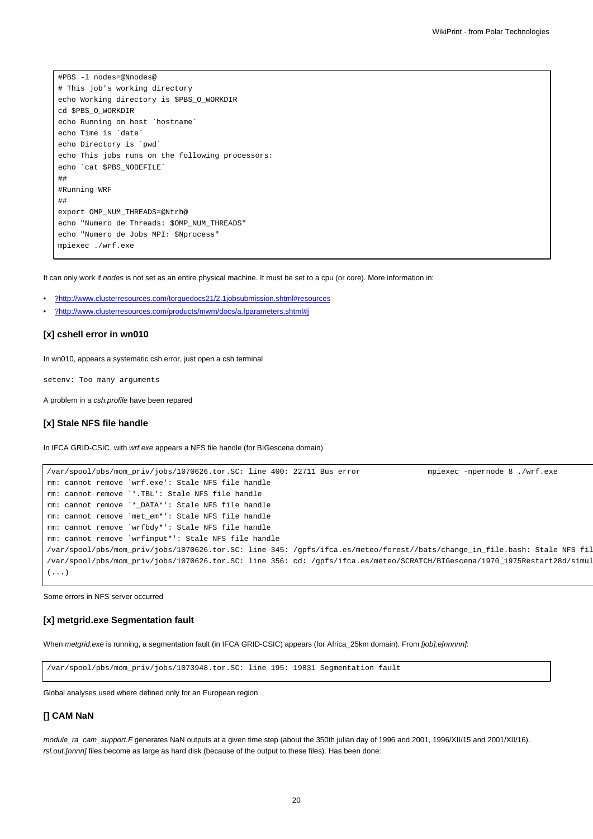#PBS -l nodes=@Nnodes@ # This job's working directory echo Working directory is \$PBS\_O\_WORKDIR cd \$PBS\_O\_WORKDIR echo Running on host `hostname` echo Time is `date` echo Directory is `pwd` echo This jobs runs on the following processors: echo `cat \$PBS\_NODEFILE` ## #Running WRF ## export OMP\_NUM\_THREADS=@Ntrh@ echo "Numero de Threads: \$OMP\_NUM\_THREADS" echo "Numero de Jobs MPI: \$Nprocess" mpiexec ./wrf.exe

It can only work if nodes is not set as an entire physical machine. It must be set to a cpu (or core). More information in:

- [?http://www.clusterresources.com/torquedocs21/2.1jobsubmission.shtml#resources](http://www.clusterresources.com/torquedocs21/2.1jobsubmission.shtml#resources)
- [?http://www.clusterresources.com/products/mwm/docs/a.fparameters.shtml#j](http://www.clusterresources.com/products/mwm/docs/a.fparameters.shtml#j)

#### **[x] cshell error in wn010**

In wn010, appears a systematic csh error, just open a csh terminal

setenv: Too many arguments

A problem in a csh.profile have been repared

### **[x] Stale NFS file handle**

In IFCA GRID-CSIC, with *wrf.exe* appears a NFS file handle (for BIGescena domain)

```
/var/spool/pbs/mom_priv/jobs/1070626.tor.SC: line 400: 22711 Bus error mpiexec -npernode 8 ./wrf.exe
rm: cannot remove `wrf.exe': Stale NFS file handle
rm: cannot remove `*.TBL': Stale NFS file handle
rm: cannot remove `*_DATA*': Stale NFS file handle
rm: cannot remove `met_em*': Stale NFS file handle
rm: cannot remove `wrfbdy*': Stale NFS file handle
rm: cannot remove `wrfinput*': Stale NFS file handle
/var/spool/pbs/mom_priv/jobs/1070626.tor.SC: line 345: /gpfs/ifca.es/meteo/forest//bats/change_in_file.bash: Stale NFS fil
/var/spool/pbs/mom_priv/jobs/1070626.tor.SC: line 356: cd: /gpfs/ifca.es/meteo/SCRATCH/BIGescena/1970_1975Restart28d/simul
(...)
```
Some errors in NFS server occurred

#### **[x] metgrid.exe Segmentation fault**

When metgrid.exe is running, a segmentation fault (in IFCA GRID-CSIC) appears (for Africa\_25km domain). From [job].e[nnnnn]:

/var/spool/pbs/mom\_priv/jobs/1073948.tor.SC: line 195: 19831 Segmentation fault

Global analyses used where defined only for an European region

### **[] CAM NaN**

module\_ra\_cam\_support.F generates NaN outputs at a given time step (about the 350th julian day of 1996 and 2001, 1996/XII/15 and 2001/XII/16). rsl.out.[nnnn] files become as large as hard disk (because of the output to these files). Has been done: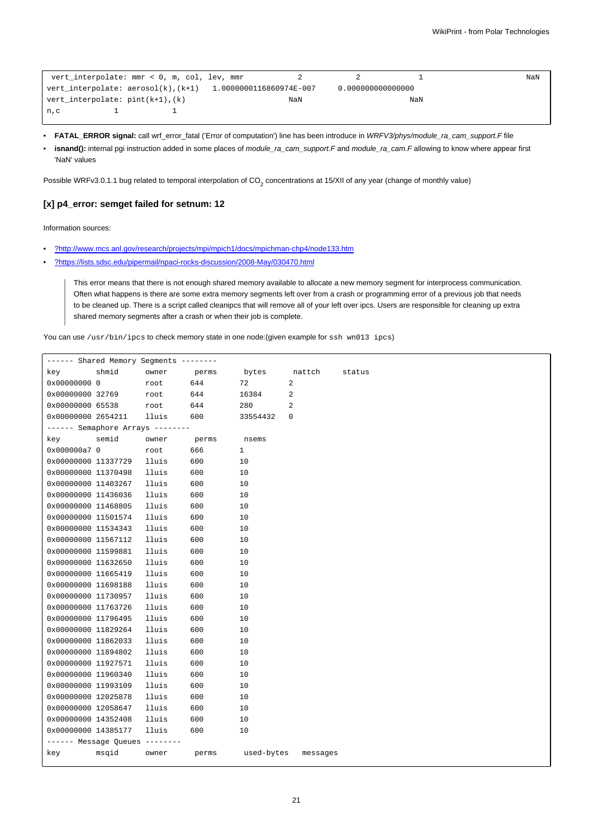```
vert_interpolate: mmr < 0, m, col, lev, mmr 2 2 2 1 1 NaN
vert_interpolate: aerosol(k),(k+1) 1.0000000116860974E-007 0.000000000000000
vert_interpolate: pint(k+1),(k) NaN NaN NaN
n, c 1 1
```
- **FATAL\_ERROR signal:** call wrf\_error\_fatal ('Error of computation') line has been introduce in WRFV3/phys/module\_ra\_cam\_support.F file
- **isnand():** internal pgi instruction added in some places of module\_ra\_cam\_support.F and module\_ra\_cam.F allowing to know where appear first 'NaN' values

Possible WRFv3.0.1.1 bug related to temporal interpolation of CO<sub>2</sub> concentrations at 15/XII of any year (change of monthly value)

#### **[x] p4\_error: semget failed for setnum: 12**

Information sources:

- [?http://www.mcs.anl.gov/research/projects/mpi/mpich1/docs/mpichman-chp4/node133.htm](http://www.mcs.anl.gov/research/projects/mpi/mpich1/docs/mpichman-chp4/node133.htm)
- [?https://lists.sdsc.edu/pipermail/npaci-rocks-discussion/2008-May/030470.html](https://lists.sdsc.edu/pipermail/npaci-rocks-discussion/2008-May/030470.html)

This error means that there is not enough shared memory available to allocate a new memory segment for interprocess communication. Often what happens is there are some extra memory segments left over from a crash or programming error of a previous job that needs to be cleaned up. There is a script called cleanipcs that will remove all of your left over ipcs. Users are responsible for cleaning up extra shared memory segments after a crash or when their job is complete.

You can use /usr/bin/ipcs to check memory state in one node:(given example for ssh wn013 ipcs)

| ------ Shared Memory Segments -------- |                                  |       |       |              |          |        |
|----------------------------------------|----------------------------------|-------|-------|--------------|----------|--------|
| key                                    | shmid                            | owner | perms | bytes        | nattch   | status |
| 0x00000000 0                           |                                  | root  | 644   | 72           | 2        |        |
| 0x00000000 32769                       |                                  | root  | 644   | 16384        | 2        |        |
| 0x00000000 65538                       |                                  | root  | 644   | 280          | 2        |        |
| 0x00000000 2654211                     |                                  | lluis | 600   | 33554432     | 0        |        |
|                                        | ------ Semaphore Arrays -------- |       |       |              |          |        |
| key                                    | semid                            | owner | perms | nsems        |          |        |
| 0x000000a7 0                           |                                  | root  | 666   | $\mathbf{1}$ |          |        |
| 0x00000000 11337729                    |                                  | lluis | 600   | 10           |          |        |
| 0x00000000 11370498                    |                                  | lluis | 600   | 10           |          |        |
| 0x00000000 11403267                    |                                  | lluis | 600   | 10           |          |        |
| 0x00000000 11436036                    |                                  | lluis | 600   | 10           |          |        |
| 0x00000000 11468805                    |                                  | lluis | 600   | 10           |          |        |
| 0x00000000 11501574                    |                                  | lluis | 600   | 10           |          |        |
| 0x00000000 11534343                    |                                  | lluis | 600   | 10           |          |        |
| 0x00000000 11567112                    |                                  | lluis | 600   | 10           |          |        |
| 0x00000000 11599881                    |                                  | lluis | 600   | 10           |          |        |
| 0x00000000 11632650                    |                                  | lluis | 600   | 10           |          |        |
| 0x00000000 11665419                    |                                  | lluis | 600   | 10           |          |        |
| 0x00000000 11698188                    |                                  | lluis | 600   | 10           |          |        |
| 0x00000000 11730957                    |                                  | lluis | 600   | 10           |          |        |
| 0x00000000 11763726                    |                                  | lluis | 600   | 10           |          |        |
| 0x00000000 11796495                    |                                  | lluis | 600   | 10           |          |        |
| 0x00000000 11829264                    |                                  | lluis | 600   | 10           |          |        |
| 0x00000000 11862033                    |                                  | lluis | 600   | 10           |          |        |
| 0x00000000 11894802                    |                                  | lluis | 600   | 10           |          |        |
| 0x00000000 11927571                    |                                  | lluis | 600   | 10           |          |        |
| 0x00000000 11960340                    |                                  | lluis | 600   | 10           |          |        |
| 0x00000000 11993109                    |                                  | lluis | 600   | 10           |          |        |
| 0x00000000 12025878                    |                                  | lluis | 600   | 10           |          |        |
| 0x00000000 12058647                    |                                  | lluis | 600   | 10           |          |        |
| 0x00000000 14352408                    |                                  | lluis | 600   | 10           |          |        |
| 0x00000000 14385177                    |                                  | lluis | 600   | 10           |          |        |
|                                        | ------ Message Queues --------   |       |       |              |          |        |
| key                                    | msqid                            | owner | perms | used-bytes   | messages |        |
|                                        |                                  |       |       |              |          |        |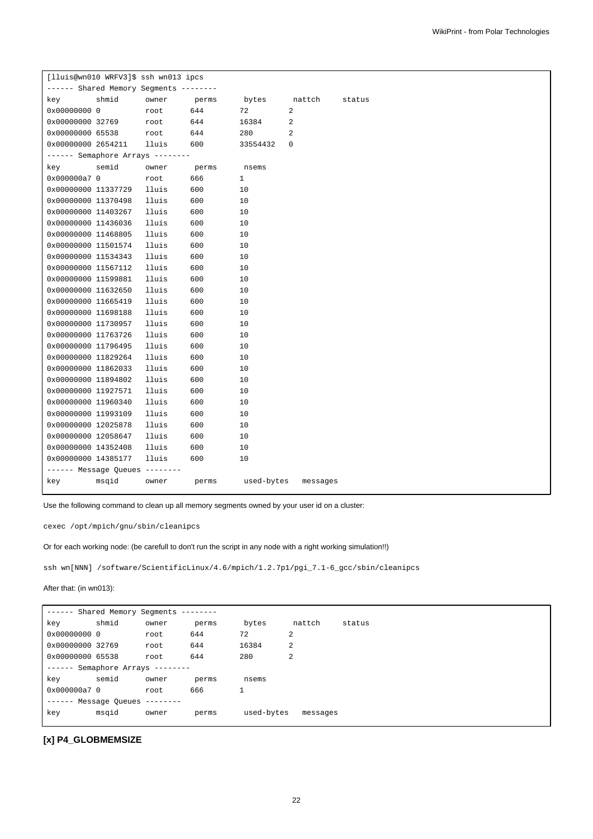|                     | [lluis@wn010 WRFV3]\$ ssh wn013 ipcs   |           |       |            |             |        |
|---------------------|----------------------------------------|-----------|-------|------------|-------------|--------|
|                     | ------ Shared Memory Segments -------- |           |       |            |             |        |
| key                 | shmid                                  | owner     | perms | bytes      | nattch      | status |
| 0x00000000 0        |                                        | root      | 644   | 72         | 2           |        |
| 0x00000000 32769    |                                        | root      | 644   | 16384      | 2           |        |
| 0x00000000 65538    |                                        | root      | 644   | 280        | 2           |        |
| 0x00000000 2654211  |                                        | lluis     | 600   | 33554432   | $\mathbf 0$ |        |
|                     | ------ Semaphore Arrays --------       |           |       |            |             |        |
| key                 | semid                                  | owner     | perms | nsems      |             |        |
| 0x000000a7 0        |                                        | root      | 666   | 1          |             |        |
| 0x00000000 11337729 |                                        | lluis     | 600   | 10         |             |        |
| 0x00000000 11370498 |                                        | lluis     | 600   | 10         |             |        |
| 0x00000000 11403267 |                                        | lluis     | 600   | 10         |             |        |
| 0x00000000 11436036 |                                        | lluis     | 600   | 10         |             |        |
| 0x00000000 11468805 |                                        | lluis     | 600   | 10         |             |        |
| 0x00000000 11501574 |                                        | lluis     | 600   | 10         |             |        |
| 0x00000000 11534343 |                                        | lluis     | 600   | 10         |             |        |
| 0x00000000 11567112 |                                        | lluis     | 600   | 10         |             |        |
| 0x00000000 11599881 |                                        | lluis     | 600   | 10         |             |        |
| 0x00000000 11632650 |                                        | lluis     | 600   | 10         |             |        |
| 0x00000000 11665419 |                                        | lluis     | 600   | 10         |             |        |
| 0x00000000 11698188 |                                        | lluis     | 600   | 10         |             |        |
| 0x00000000 11730957 |                                        | lluis     | 600   | 10         |             |        |
| 0x00000000 11763726 |                                        | lluis     | 600   | 10         |             |        |
| 0x00000000 11796495 |                                        | lluis     | 600   | 10         |             |        |
| 0x00000000 11829264 |                                        | lluis     | 600   | 10         |             |        |
| 0x00000000 11862033 |                                        | lluis     | 600   | 10         |             |        |
| 0x00000000 11894802 |                                        | lluis     | 600   | 10         |             |        |
| 0x00000000 11927571 |                                        | lluis     | 600   | 10         |             |        |
| 0x00000000 11960340 |                                        | lluis     | 600   | 10         |             |        |
| 0x00000000 11993109 |                                        | lluis     | 600   | 10         |             |        |
| 0x00000000 12025878 |                                        | lluis     | 600   | 10         |             |        |
| 0x00000000 12058647 |                                        | lluis     | 600   | 10         |             |        |
| 0x00000000 14352408 |                                        | lluis     | 600   | 10         |             |        |
| 0x00000000 14385177 |                                        | lluis     | 600   | 10         |             |        |
|                     | ------ Message Queues                  | --------- |       |            |             |        |
| key                 | msqid                                  | owner     | perms | used-bytes | messages    |        |
|                     |                                        |           |       |            |             |        |

Use the following command to clean up all memory segments owned by your user id on a cluster:

cexec /opt/mpich/gnu/sbin/cleanipcs

Or for each working node: (be carefull to don't run the script in any node with a right working simulation!!)

ssh wn[NNN] /software/ScientificLinux/4.6/mpich/1.2.7p1/pgi\_7.1-6\_gcc/sbin/cleanipcs

### After that: (in wn013):

| -------                        | Shared Memory Segments         |       | --------- |            |          |        |
|--------------------------------|--------------------------------|-------|-----------|------------|----------|--------|
| key                            | shmid                          | owner | perms     | bytes      | nattch   | status |
| 0x00000000 0                   |                                | root  | 644       | 72         | 2        |        |
| 0x00000000 32769               |                                | root  | 644       | 16384      | 2        |        |
| 0x00000000 65538               |                                | root  | 644       | 280        | 2        |        |
| $----$ Semaphore Arrays $----$ |                                |       |           |            |          |        |
| key                            | semid                          | owner | perms     | nsems      |          |        |
| 0x000000a7 0                   |                                | root  | 666       |            |          |        |
|                                | $-----$ Message Oueues $-----$ |       |           |            |          |        |
| key                            | msqid                          | owner | perms     | used-bytes | messages |        |
|                                |                                |       |           |            |          |        |

# **[x] P4\_GLOBMEMSIZE**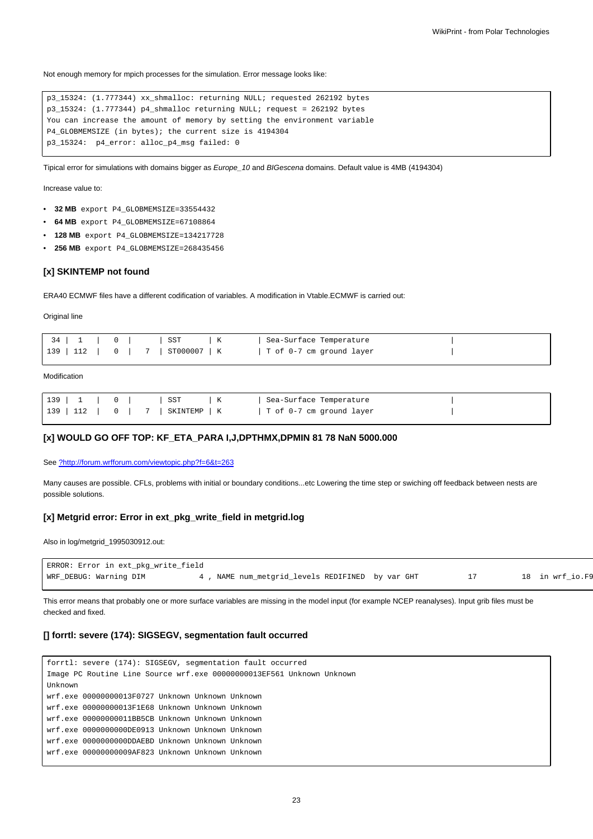Not enough memory for mpich processes for the simulation. Error message looks like:

```
p3_15324: (1.777344) xx_shmalloc: returning NULL; requested 262192 bytes
p3_15324: (1.777344) p4_shmalloc returning NULL; request = 262192 bytes
You can increase the amount of memory by setting the environment variable
P4_GLOBMEMSIZE (in bytes); the current size is 4194304
p3_15324: p4_error: alloc_p4_msg failed: 0
```
Tipical error for simulations with domains bigger as Europe\_10 and BIGescena domains. Default value is 4MB (4194304)

Increase value to:

- **32 MB** export P4\_GLOBMEMSIZE=33554432
- **64 MB** export P4\_GLOBMEMSIZE=67108864
- **128 MB** export P4\_GLOBMEMSIZE=134217728
- **256 MB** export P4\_GLOBMEMSIZE=268435456

#### **[x] SKINTEMP not found**

ERA40 ECMWF files have a different codification of variables. A modification in Vtable.ECMWF is carried out:

**Original line** 

| $34$ 1 0 5 $5$ $\sqrt{K}$        | Sea-Surface Temperature  |  |
|----------------------------------|--------------------------|--|
| 139   112   0   7   ST000007   K | T of 0-7 cm ground layer |  |

Modification

|  | $ 139 1 0 $ $ SST $ $ K $        | Sea-Surface Temperature  |  |
|--|----------------------------------|--------------------------|--|
|  | 139   112   0   7   SKINTEMP   K | T of 0-7 cm ground layer |  |

#### **[x] WOULD GO OFF TOP: KF\_ETA\_PARA I,J,DPTHMX,DPMIN 81 78 NaN 5000.000**

See [?http://forum.wrfforum.com/viewtopic.php?f=6&t=263](http://forum.wrfforum.com/viewtopic.php?f=6&t=263)

Many causes are possible. CFLs, problems with initial or boundary conditions...etc Lowering the time step or swiching off feedback between nests are possible solutions.

### **[x] Metgrid error: Error in ext\_pkg\_write\_field in metgrid.log**

Also in log/metgrid\_1995030912.out:

```
ERROR: Error in ext_pkg_write_field
WRF_DEBUG: Warning DIM 4, NAME num_metgrid_levels REDIFINED by var GHT 17 18 in wrf_io.F9
```
This error means that probably one or more surface variables are missing in the model input (for example NCEP reanalyses). Input grib files must be checked and fixed.

### **[] forrtl: severe (174): SIGSEGV, segmentation fault occurred**

```
forrtl: severe (174): SIGSEGV, segmentation fault occurred
Image PC Routine Line Source wrf.exe 00000000013EF561 Unknown Unknown
Unknown
wrf.exe 00000000013F0727 Unknown Unknown Unknown
wrf.exe 00000000013F1E68 Unknown Unknown Unknown
wrf.exe 00000000011BB5CB Unknown Unknown Unknown
wrf.exe 0000000000DE0913 Unknown Unknown Unknown
wrf.exe 0000000000DDAEBD Unknown Unknown Unknown
wrf.exe 00000000009AF823 Unknown Unknown Unknown
```